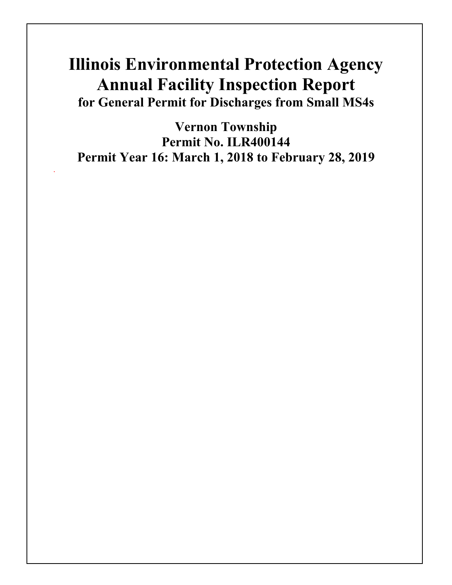# **Illinois Environmental Protection Agency Annual Facility Inspection Report for General Permit for Discharges from Small MS4s**

**Vernon Township Permit No. ILR400144 Permit Year 16: March 1, 2018 to February 28, 2019**

.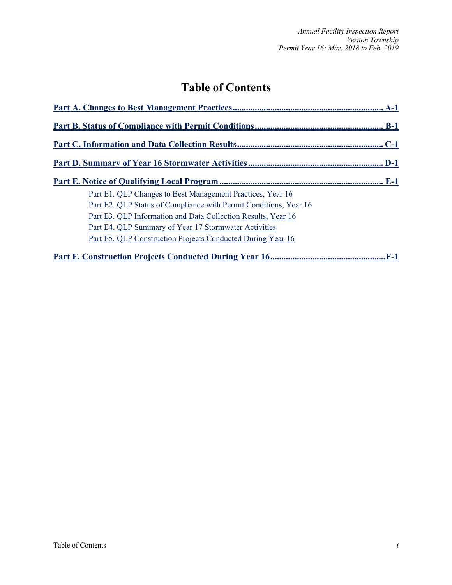# **Table of Contents**

| Part E1. OLP Changes to Best Management Practices, Year 16        |
|-------------------------------------------------------------------|
| Part E2. QLP Status of Compliance with Permit Conditions, Year 16 |
| Part E3. QLP Information and Data Collection Results, Year 16     |
| Part E4. QLP Summary of Year 17 Stormwater Activities             |
| Part E5. QLP Construction Projects Conducted During Year 16       |
|                                                                   |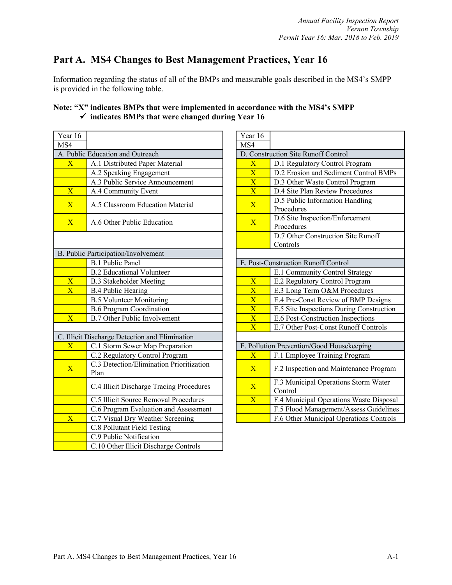# **Part A. MS4 Changes to Best Management Practices, Year 16**

Information regarding the status of all of the BMPs and measurable goals described in the MS4's SMPP is provided in the following table.

| Year 16                 |                                                  | Year 16                 |                                               |
|-------------------------|--------------------------------------------------|-------------------------|-----------------------------------------------|
| MS4                     |                                                  | MS4                     |                                               |
|                         | A. Public Education and Outreach                 |                         | D. Construction Site Runoff Control           |
| $\overline{\text{X}}$   | A.1 Distributed Paper Material                   | $\overline{\mathbf{X}}$ | D.1 Regulatory Control Program                |
|                         | A.2 Speaking Engagement                          | $\overline{\text{X}}$   | D.2 Erosion and Sediment Contro               |
|                         | A.3 Public Service Announcement                  | $\overline{\mathbf{X}}$ | D.3 Other Waste Control Program               |
| $\mathbf{X}$            | A.4 Community Event                              | $\overline{\text{X}}$   | D.4 Site Plan Review Procedures               |
| $\overline{X}$          | A.5 Classroom Education Material                 | $\overline{X}$          | D.5 Public Information Handling<br>Procedures |
| $\overline{X}$          | A.6 Other Public Education                       | $\overline{X}$          | D.6 Site Inspection/Enforcement<br>Procedures |
|                         |                                                  |                         | D.7 Other Construction Site Runo<br>Controls  |
|                         | B. Public Participation/Involvement              |                         |                                               |
|                         | <b>B.1 Public Panel</b>                          |                         | E. Post-Construction Runoff Control           |
|                         | <b>B.2</b> Educational Volunteer                 |                         | E.1 Community Control Strategy                |
| $\overline{\textbf{X}}$ | <b>B.3 Stakeholder Meeting</b>                   | $\overline{\textbf{X}}$ | E.2 Regulatory Control Program                |
| $\overline{\mathbf{X}}$ | <b>B.4 Public Hearing</b>                        | $\overline{\text{X}}$   | E.3 Long Term O&M Procedures                  |
|                         | <b>B.5 Volunteer Monitoring</b>                  | $\overline{\text{X}}$   | E.4 Pre-Const Review of BMP De                |
|                         | <b>B.6 Program Coordination</b>                  | $\overline{\mathbf{X}}$ | E.5 Site Inspections During Const             |
| $\overline{\mathbf{X}}$ | <b>B.7 Other Public Involvement</b>              | $\overline{\textbf{X}}$ | E.6 Post-Construction Inspections             |
|                         |                                                  | $\overline{\textbf{X}}$ | E.7 Other Post-Const Runoff Con               |
|                         | C. Illicit Discharge Detection and Elimination   |                         |                                               |
| $\overline{\text{X}}$   | C.1 Storm Sewer Map Preparation                  |                         | F. Pollution Prevention/Good Housekeeping     |
|                         | C.2 Regulatory Control Program                   | $\overline{X}$          | F.1 Employee Training Program                 |
| $\overline{X}$          | C.3 Detection/Elimination Prioritization<br>Plan | $\overline{X}$          | F.2 Inspection and Maintenance P              |
|                         | C.4 Illicit Discharge Tracing Procedures         | $\overline{X}$          | F.3 Municipal Operations Storm V<br>Control   |
|                         | C.5 Illicit Source Removal Procedures            | $\overline{\mathbf{X}}$ | F.4 Municipal Operations Waste I              |
|                         | C.6 Program Evaluation and Assessment            |                         | F.5 Flood Management/Assess Gu                |
| $\overline{\textbf{X}}$ | C.7 Visual Dry Weather Screening                 |                         | F.6 Other Municipal Operations C              |
|                         | C.8 Pollutant Field Testing                      |                         |                                               |
|                         | C.9 Public Notification                          |                         |                                               |
|                         | C.10 Other Illicit Discharge Controls            |                         |                                               |

# **Note: "X" indicates BMPs that were implemented in accordance with the MS4's SMPP** ü **indicates BMPs that were changed during Year 16**

| ar 16                   |                                                        | Year 16                 |                                                 |
|-------------------------|--------------------------------------------------------|-------------------------|-------------------------------------------------|
| $\overline{4}$          |                                                        | MS4                     |                                                 |
|                         | Public Education and Outreach                          |                         | D. Construction Site Runoff Control             |
| $\overline{\text{X}}$   | A.1 Distributed Paper Material                         | $\overline{X}$          | D.1 Regulatory Control Program                  |
|                         | A.2 Speaking Engagement                                | $\overline{\textbf{X}}$ | D.2 Erosion and Sediment Control BMPs           |
|                         | A.3 Public Service Announcement                        | $\overline{X}$          | D.3 Other Waste Control Program                 |
| $\overline{\text{X}}$   | A.4 Community Event                                    | $\overline{\text{X}}$   | D.4 Site Plan Review Procedures                 |
| $\overline{\text{X}}$   | A.5 Classroom Education Material                       | $\overline{X}$          | D.5 Public Information Handling<br>Procedures   |
| $\overline{\text{X}}$   | A.6 Other Public Education                             | $\overline{X}$          | D.6 Site Inspection/Enforcement<br>Procedures   |
|                         |                                                        |                         | D.7 Other Construction Site Runoff<br>Controls  |
|                         | Public Participation/Involvement                       |                         |                                                 |
|                         | <b>B.1 Public Panel</b>                                |                         | E. Post-Construction Runoff Control             |
|                         | <b>B.2 Educational Volunteer</b>                       |                         | E.1 Community Control Strategy                  |
| $\mathbf X$             | <b>B.3 Stakeholder Meeting</b>                         | $\overline{X}$          | E.2 Regulatory Control Program                  |
| $\overline{\text{X}}$   | <b>B.4 Public Hearing</b>                              | $\overline{X}$          | E.3 Long Term O&M Procedures                    |
|                         | <b>B.5 Volunteer Monitoring</b>                        | $\overline{\text{X}}$   | E.4 Pre-Const Review of BMP Designs             |
|                         | <b>B.6 Program Coordination</b>                        | $\overline{\mathbf{X}}$ | E.5 Site Inspections During Construction        |
| $\overline{\text{X}}$   | <b>B.7 Other Public Involvement</b>                    | $\overline{\text{X}}$   | E.6 Post-Construction Inspections               |
|                         |                                                        | $\overline{X}$          | E.7 Other Post-Const Runoff Controls            |
|                         | Illicit Discharge Detection and Elimination            |                         |                                                 |
| $\overline{\text{X}}$   | C.1 Storm Sewer Map Preparation                        |                         | F. Pollution Prevention/Good Housekeeping       |
|                         | C.2 Regulatory Control Program                         | $\overline{X}$          | F.1 Employee Training Program                   |
| $\overline{\mathrm{X}}$ | C.3 Detection/Elimination Prioritization<br>Plan       | $\overline{X}$          | F.2 Inspection and Maintenance Program          |
|                         | C.4 Illicit Discharge Tracing Procedures               | $\overline{X}$          | F.3 Municipal Operations Storm Water<br>Control |
|                         | C.5 Illicit Source Removal Procedures                  | $\overline{X}$          | F.4 Municipal Operations Waste Disposal         |
|                         | C.6 Program Evaluation and Assessment                  |                         | F.5 Flood Management/Assess Guidelines          |
| $\overline{\mathrm{X}}$ | C.7 Visual Dry Weather Screening                       |                         | F.6 Other Municipal Operations Controls         |
|                         | $C(0, 0, 11)$ $\rightarrow$ $D'$ 11 $T'$ $\rightarrow$ |                         |                                                 |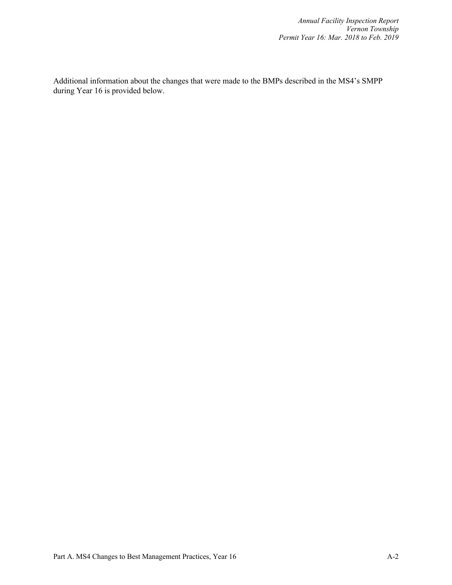Additional information about the changes that were made to the BMPs described in the MS4's SMPP during Year 16 is provided below.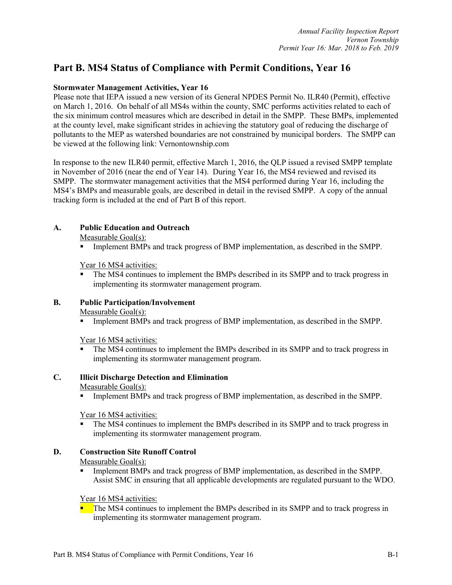# **Part B. MS4 Status of Compliance with Permit Conditions, Year 16**

#### **Stormwater Management Activities, Year 16**

Please note that IEPA issued a new version of its General NPDES Permit No. ILR40 (Permit), effective on March 1, 2016. On behalf of all MS4s within the county, SMC performs activities related to each of the six minimum control measures which are described in detail in the SMPP. These BMPs, implemented at the county level, make significant strides in achieving the statutory goal of reducing the discharge of pollutants to the MEP as watershed boundaries are not constrained by municipal borders. The SMPP can be viewed at the following link: Vernontownship.com

In response to the new ILR40 permit, effective March 1, 2016, the QLP issued a revised SMPP template in November of 2016 (near the end of Year 14). During Year 16, the MS4 reviewed and revised its SMPP. The stormwater management activities that the MS4 performed during Year 16, including the MS4's BMPs and measurable goals, are described in detail in the revised SMPP. A copy of the annual tracking form is included at the end of Part B of this report.

# **A. Public Education and Outreach**

Measurable Goal(s):

§ Implement BMPs and track progress of BMP implementation, as described in the SMPP.

Year 16 MS4 activities:

The MS4 continues to implement the BMPs described in its SMPP and to track progress in implementing its stormwater management program.

# **B. Public Participation/Involvement**

Measurable Goal(s):

§ Implement BMPs and track progress of BMP implementation, as described in the SMPP.

Year 16 MS4 activities:

The MS4 continues to implement the BMPs described in its SMPP and to track progress in implementing its stormwater management program.

#### **C. Illicit Discharge Detection and Elimination**

#### Measurable Goal(s):

§ Implement BMPs and track progress of BMP implementation, as described in the SMPP.

Year 16 MS4 activities:

• The MS4 continues to implement the BMPs described in its SMPP and to track progress in implementing its stormwater management program.

#### **D. Construction Site Runoff Control**

#### Measurable Goal(s):

§ Implement BMPs and track progress of BMP implementation, as described in the SMPP. Assist SMC in ensuring that all applicable developments are regulated pursuant to the WDO.

Year 16 MS4 activities:

 $\blacksquare$  The MS4 continues to implement the BMPs described in its SMPP and to track progress in implementing its stormwater management program.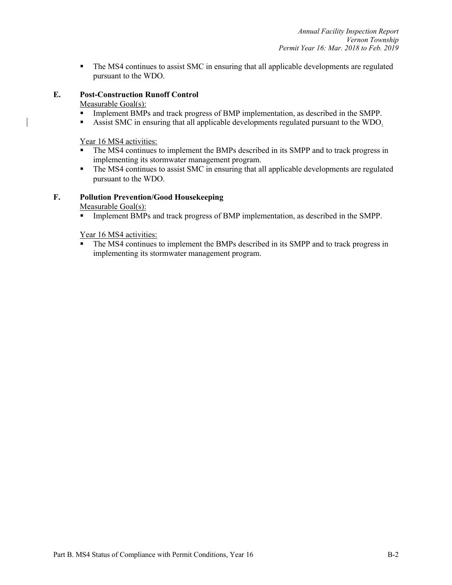• The MS4 continues to assist SMC in ensuring that all applicable developments are regulated pursuant to the WDO.

#### **E. Post-Construction Runoff Control**

Measurable Goal(s):

- § Implement BMPs and track progress of BMP implementation, as described in the SMPP.
- Assist SMC in ensuring that all applicable developments regulated pursuant to the WDO.

Year 16 MS4 activities:

- The MS4 continues to implement the BMPs described in its SMPP and to track progress in implementing its stormwater management program.
- The MS4 continues to assist SMC in ensuring that all applicable developments are regulated pursuant to the WDO.

#### **F. Pollution Prevention/Good Housekeeping**

Measurable Goal(s):

§ Implement BMPs and track progress of BMP implementation, as described in the SMPP.

Year 16 MS4 activities:

• The MS4 continues to implement the BMPs described in its SMPP and to track progress in implementing its stormwater management program.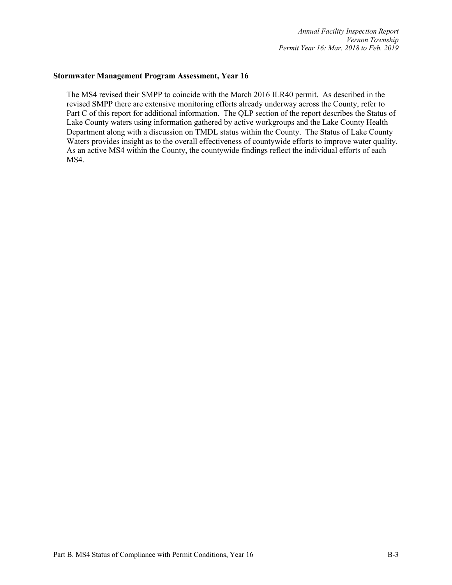#### **Stormwater Management Program Assessment, Year 16**

The MS4 revised their SMPP to coincide with the March 2016 ILR40 permit. As described in the revised SMPP there are extensive monitoring efforts already underway across the County, refer to Part C of this report for additional information. The QLP section of the report describes the Status of Lake County waters using information gathered by active workgroups and the Lake County Health Department along with a discussion on TMDL status within the County. The Status of Lake County Waters provides insight as to the overall effectiveness of countywide efforts to improve water quality. As an active MS4 within the County, the countywide findings reflect the individual efforts of each MS4.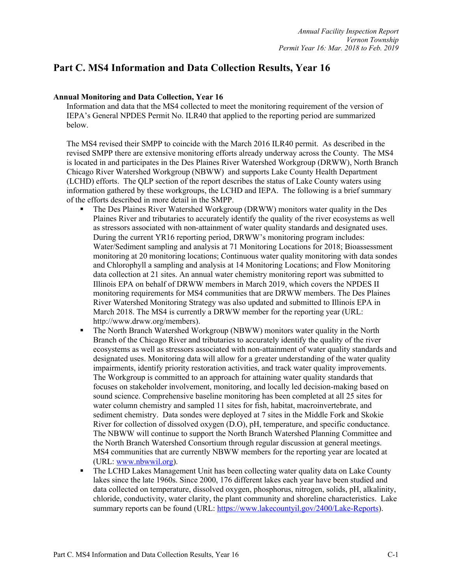# **Part C. MS4 Information and Data Collection Results, Year 16**

#### **Annual Monitoring and Data Collection, Year 16**

Information and data that the MS4 collected to meet the monitoring requirement of the version of IEPA's General NPDES Permit No. ILR40 that applied to the reporting period are summarized below.

The MS4 revised their SMPP to coincide with the March 2016 ILR40 permit. As described in the revised SMPP there are extensive monitoring efforts already underway across the County. The MS4 is located in and participates in the Des Plaines River Watershed Workgroup (DRWW), North Branch Chicago River Watershed Workgroup (NBWW) and supports Lake County Health Department (LCHD) efforts. The QLP section of the report describes the status of Lake County waters using information gathered by these workgroups, the LCHD and IEPA. The following is a brief summary of the efforts described in more detail in the SMPP.

- § The Des Plaines River Watershed Workgroup (DRWW) monitors water quality in the Des Plaines River and tributaries to accurately identify the quality of the river ecosystems as well as stressors associated with non-attainment of water quality standards and designated uses. During the current YR16 reporting period, DRWW's monitoring program includes: Water/Sediment sampling and analysis at 71 Monitoring Locations for 2018; Bioassessment monitoring at 20 monitoring locations; Continuous water quality monitoring with data sondes and Chlorophyll a sampling and analysis at 14 Monitoring Locations; and Flow Monitoring data collection at 21 sites. An annual water chemistry monitoring report was submitted to Illinois EPA on behalf of DRWW members in March 2019, which covers the NPDES II monitoring requirements for MS4 communities that are DRWW members. The Des Plaines River Watershed Monitoring Strategy was also updated and submitted to Illinois EPA in March 2018. The MS4 is currently a DRWW member for the reporting year (URL: http://www.drww.org/members).
- § The North Branch Watershed Workgroup (NBWW) monitors water quality in the North Branch of the Chicago River and tributaries to accurately identify the quality of the river ecosystems as well as stressors associated with non-attainment of water quality standards and designated uses. Monitoring data will allow for a greater understanding of the water quality impairments, identify priority restoration activities, and track water quality improvements. The Workgroup is committed to an approach for attaining water quality standards that focuses on stakeholder involvement, monitoring, and locally led decision-making based on sound science. Comprehensive baseline monitoring has been completed at all 25 sites for water column chemistry and sampled 11 sites for fish, habitat, macroinvertebrate, and sediment chemistry. Data sondes were deployed at 7 sites in the Middle Fork and Skokie River for collection of dissolved oxygen (D.O), pH, temperature, and specific conductance. The NBWW will continue to support the North Branch Watershed Planning Committee and the North Branch Watershed Consortium through regular discussion at general meetings. MS4 communities that are currently NBWW members for the reporting year are located at (URL: www.nbwwil.org).
- The LCHD Lakes Management Unit has been collecting water quality data on Lake County lakes since the late 1960s. Since 2000, 176 different lakes each year have been studied and data collected on temperature, dissolved oxygen, phosphorus, nitrogen, solids, pH, alkalinity, chloride, conductivity, water clarity, the plant community and shoreline characteristics. Lake summary reports can be found (URL: https://www.lakecountyil.gov/2400/Lake-Reports).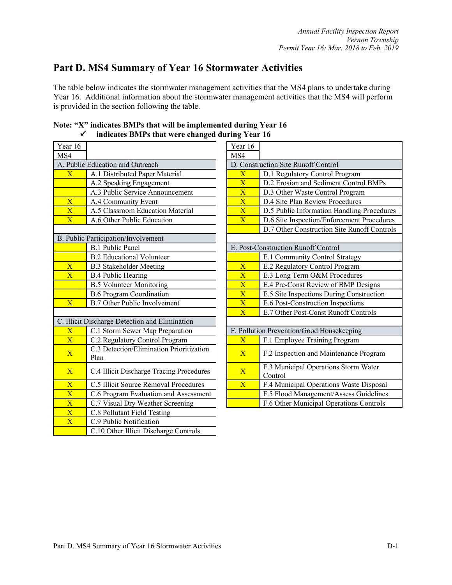# **Part D. MS4 Summary of Year 16 Stormwater Activities**

The table below indicates the stormwater management activities that the MS4 plans to undertake during Year 16. Additional information about the stormwater management activities that the MS4 will perform is provided in the section following the table.

| Year 16                 |                                                  | Year 16                 |                                             |
|-------------------------|--------------------------------------------------|-------------------------|---------------------------------------------|
| MS4                     |                                                  | MS4                     |                                             |
|                         | A. Public Education and Outreach                 |                         | D. Construction Site Runoff Control         |
| $\overline{\textbf{X}}$ | A.1 Distributed Paper Material                   | $\overline{\text{X}}$   | D.1 Regulatory Control Program              |
|                         | A.2 Speaking Engagement                          | $\overline{\text{X}}$   | D.2 Erosion and Sediment Contro             |
|                         | A.3 Public Service Announcement                  | $\overline{\text{X}}$   | D.3 Other Waste Control Program             |
| $\overline{\mathbf{X}}$ | A.4 Community Event                              | $\overline{\text{X}}$   | D.4 Site Plan Review Procedures             |
| $\overline{\text{X}}$   | A.5 Classroom Education Material                 | $\overline{\textbf{X}}$ | D.5 Public Information Handling             |
| $\overline{X}$          | A.6 Other Public Education                       | $\overline{X}$          | D.6 Site Inspection/Enforcement I           |
|                         |                                                  |                         | D.7 Other Construction Site Runo            |
|                         | B. Public Participation/Involvement              |                         |                                             |
|                         | <b>B.1 Public Panel</b>                          |                         | E. Post-Construction Runoff Control         |
|                         | <b>B.2 Educational Volunteer</b>                 |                         | E.1 Community Control Strategy              |
| $\overline{\text{X}}$   | <b>B.3 Stakeholder Meeting</b>                   | $\overline{\text{X}}$   | E.2 Regulatory Control Program              |
| $\overline{\text{X}}$   | <b>B.4 Public Hearing</b>                        | $\overline{\text{X}}$   | E.3 Long Term O&M Procedures                |
|                         | <b>B.5 Volunteer Monitoring</b>                  | $\overline{\textbf{X}}$ | E.4 Pre-Const Review of BMP De              |
|                         | <b>B.6 Program Coordination</b>                  | $\overline{\textbf{X}}$ | E.5 Site Inspections During Const           |
| $\overline{X}$          | <b>B.7 Other Public Involvement</b>              | $\overline{\text{X}}$   | E.6 Post-Construction Inspections           |
|                         |                                                  | $\overline{\mathbf{X}}$ | E.7 Other Post-Const Runoff Con             |
|                         | C. Illicit Discharge Detection and Elimination   |                         |                                             |
| $\overline{\text{X}}$   | C.1 Storm Sewer Map Preparation                  |                         | F. Pollution Prevention/Good Housekeeping   |
| $\overline{\textbf{X}}$ | C.2 Regulatory Control Program                   | $\overline{X}$          | F.1 Employee Training Program               |
| $\overline{\mathbf{X}}$ | C.3 Detection/Elimination Prioritization<br>Plan | $\mathbf{X}$            | F.2 Inspection and Maintenance P            |
| $\overline{X}$          | C.4 Illicit Discharge Tracing Procedures         | $\mathbf{X}$            | F.3 Municipal Operations Storm V<br>Control |
| $\overline{\text{X}}$   | C.5 Illicit Source Removal Procedures            | $\overline{X}$          | F.4 Municipal Operations Waste I            |
| $\overline{\text{X}}$   | C.6 Program Evaluation and Assessment            |                         | F.5 Flood Management/Assess Gu              |
| $\overline{\text{X}}$   | C.7 Visual Dry Weather Screening                 |                         | F.6 Other Municipal Operations C            |
| $\overline{\textbf{X}}$ | C.8 Pollutant Field Testing                      |                         |                                             |
| $\overline{\text{X}}$   | C.9 Public Notification                          |                         |                                             |
|                         | C.10 Other Illicit Discharge Controls            |                         |                                             |
|                         |                                                  |                         |                                             |

|  | Note: "X" indicates BMPs that will be implemented during Year 16 |
|--|------------------------------------------------------------------|
|  | indicates BMPs that were changed during Year 16                  |

|                                     | Indicates BNIPS that were changed during Year To |                                                            |                                                 |
|-------------------------------------|--------------------------------------------------|------------------------------------------------------------|-------------------------------------------------|
| ur 16                               |                                                  | Year 16                                                    |                                                 |
| $\overline{4}$                      |                                                  | MS4                                                        |                                                 |
|                                     | Public Education and Outreach                    |                                                            | D. Construction Site Runoff Control             |
| $\overline{\text{X}}$               | A.1 Distributed Paper Material                   | $\overline{\text{X}}$                                      | D.1 Regulatory Control Program                  |
|                                     | A.2 Speaking Engagement                          | $\overline{\text{X}}$                                      | D.2 Erosion and Sediment Control BMPs           |
|                                     | A.3 Public Service Announcement                  | $\overline{\mathbf{X}}$                                    | D.3 Other Waste Control Program                 |
| $\overline{\text{X}}$               | A.4 Community Event                              | $\overline{\text{X}}$                                      | D.4 Site Plan Review Procedures                 |
| $\frac{\overline{X}}{\overline{X}}$ | A.5 Classroom Education Material                 | $\overline{X}$                                             | D.5 Public Information Handling Procedures      |
|                                     | A.6 Other Public Education                       | $\overline{\textbf{X}}$                                    | D.6 Site Inspection/Enforcement Procedures      |
|                                     |                                                  |                                                            | D.7 Other Construction Site Runoff Controls     |
|                                     | Public Participation/Involvement                 |                                                            |                                                 |
|                                     | <b>B.1 Public Panel</b>                          |                                                            | E. Post-Construction Runoff Control             |
|                                     | <b>B.2</b> Educational Volunteer                 |                                                            | E.1 Community Control Strategy                  |
| $\overline{\text{X}}$               | <b>B.3 Stakeholder Meeting</b>                   | $\overline{\textbf{X}}$                                    | E.2 Regulatory Control Program                  |
| $\overline{\text{X}}$               | <b>B.4 Public Hearing</b>                        | $\overline{\textbf{X}}$                                    | E.3 Long Term O&M Procedures                    |
|                                     | <b>B.5 Volunteer Monitoring</b>                  | $\overline{\text{X}}$                                      | E.4 Pre-Const Review of BMP Designs             |
|                                     | <b>B.6 Program Coordination</b>                  | $\overline{\textbf{X}}$                                    | E.5 Site Inspections During Construction        |
| $\overline{\mathrm{X}}$             | <b>B.7 Other Public Involvement</b>              | $\overline{\text{X}}$<br>E.6 Post-Construction Inspections |                                                 |
|                                     |                                                  | $\overline{\text{X}}$                                      | E.7 Other Post-Const Runoff Controls            |
|                                     | Illicit Discharge Detection and Elimination      |                                                            |                                                 |
| $\overline{\text{X}}$               | C.1 Storm Sewer Map Preparation                  |                                                            | F. Pollution Prevention/Good Housekeeping       |
| $\overline{X}$                      | C.2 Regulatory Control Program                   | $\overline{X}$                                             | F.1 Employee Training Program                   |
| $\overline{\text{X}}$               | C.3 Detection/Elimination Prioritization<br>Plan | $\overline{X}$                                             | F.2 Inspection and Maintenance Program          |
| $\overline{\text{X}}$               | C.4 Illicit Discharge Tracing Procedures         | $\mathbf{X}$                                               | F.3 Municipal Operations Storm Water<br>Control |
| $\frac{\overline{X}}{\overline{X}}$ | C.5 Illicit Source Removal Procedures            | $\overline{X}$                                             | F.4 Municipal Operations Waste Disposal         |
|                                     | C.6 Program Evaluation and Assessment            |                                                            | F.5 Flood Management/Assess Guidelines          |
| $\overline{\text{X}}$               | C.7 Visual Dry Weather Screening                 |                                                            | F.6 Other Municipal Operations Controls         |
|                                     |                                                  |                                                            |                                                 |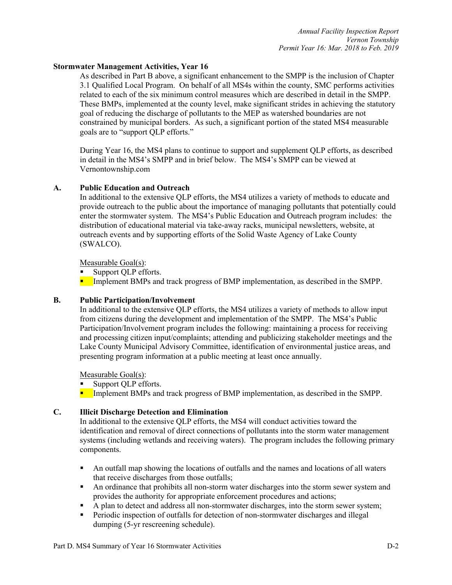#### **Stormwater Management Activities, Year 16**

As described in Part B above, a significant enhancement to the SMPP is the inclusion of Chapter 3.1 Qualified Local Program. On behalf of all MS4s within the county, SMC performs activities related to each of the six minimum control measures which are described in detail in the SMPP. These BMPs, implemented at the county level, make significant strides in achieving the statutory goal of reducing the discharge of pollutants to the MEP as watershed boundaries are not constrained by municipal borders. As such, a significant portion of the stated MS4 measurable goals are to "support QLP efforts."

During Year 16, the MS4 plans to continue to support and supplement QLP efforts, as described in detail in the MS4's SMPP and in brief below. The MS4's SMPP can be viewed at Vernontownship.com

#### **A. Public Education and Outreach**

In additional to the extensive QLP efforts, the MS4 utilizes a variety of methods to educate and provide outreach to the public about the importance of managing pollutants that potentially could enter the stormwater system. The MS4's Public Education and Outreach program includes: the distribution of educational material via take-away racks, municipal newsletters, website, at outreach events and by supporting efforts of the Solid Waste Agency of Lake County (SWALCO).

Measurable Goal(s):

■ Support QLP efforts.

**•** Implement BMPs and track progress of BMP implementation, as described in the SMPP.

#### **B. Public Participation/Involvement**

In additional to the extensive QLP efforts, the MS4 utilizes a variety of methods to allow input from citizens during the development and implementation of the SMPP. The MS4's Public Participation/Involvement program includes the following: maintaining a process for receiving and processing citizen input/complaints; attending and publicizing stakeholder meetings and the Lake County Municipal Advisory Committee, identification of environmental justice areas, and presenting program information at a public meeting at least once annually.

Measurable Goal(s):

■ Support QLP efforts.

**•** Implement BMPs and track progress of BMP implementation, as described in the SMPP.

#### **C. Illicit Discharge Detection and Elimination**

In additional to the extensive QLP efforts, the MS4 will conduct activities toward the identification and removal of direct connections of pollutants into the storm water management systems (including wetlands and receiving waters). The program includes the following primary components.

- An outfall map showing the locations of outfalls and the names and locations of all waters that receive discharges from those outfalls;
- An ordinance that prohibits all non-storm water discharges into the storm sewer system and provides the authority for appropriate enforcement procedures and actions;
- A plan to detect and address all non-stormwater discharges, into the storm sewer system;
- Periodic inspection of outfalls for detection of non-stormwater discharges and illegal dumping (5-yr rescreening schedule).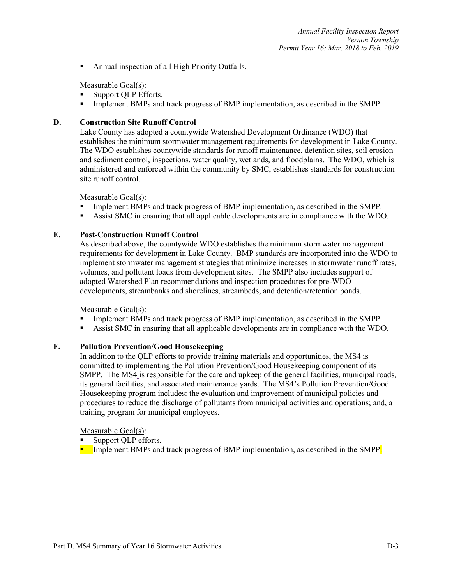■ Annual inspection of all High Priority Outfalls.

#### Measurable Goal(s):

- Support OLP Efforts.
- Implement BMPs and track progress of BMP implementation, as described in the SMPP.

#### **D. Construction Site Runoff Control**

Lake County has adopted a countywide Watershed Development Ordinance (WDO) that establishes the minimum stormwater management requirements for development in Lake County. The WDO establishes countywide standards for runoff maintenance, detention sites, soil erosion and sediment control, inspections, water quality, wetlands, and floodplains. The WDO, which is administered and enforced within the community by SMC, establishes standards for construction site runoff control.

#### Measurable Goal(s):

- Implement BMPs and track progress of BMP implementation, as described in the SMPP.
- § Assist SMC in ensuring that all applicable developments are in compliance with the WDO.

#### **E. Post-Construction Runoff Control**

As described above, the countywide WDO establishes the minimum stormwater management requirements for development in Lake County. BMP standards are incorporated into the WDO to implement stormwater management strategies that minimize increases in stormwater runoff rates, volumes, and pollutant loads from development sites. The SMPP also includes support of adopted Watershed Plan recommendations and inspection procedures for pre-WDO developments, streambanks and shorelines, streambeds, and detention/retention ponds.

Measurable Goal(s):

- § Implement BMPs and track progress of BMP implementation, as described in the SMPP.
- § Assist SMC in ensuring that all applicable developments are in compliance with the WDO.

#### **F. Pollution Prevention/Good Housekeeping**

In addition to the QLP efforts to provide training materials and opportunities, the MS4 is committed to implementing the Pollution Prevention/Good Housekeeping component of its SMPP. The MS4 is responsible for the care and upkeep of the general facilities, municipal roads, its general facilities, and associated maintenance yards. The MS4's Pollution Prevention/Good Housekeeping program includes: the evaluation and improvement of municipal policies and procedures to reduce the discharge of pollutants from municipal activities and operations; and, a training program for municipal employees.

Measurable Goal(s):

- Support OLP efforts.
- **EXECUTE:** Implement BMPs and track progress of BMP implementation, as described in the SMPP.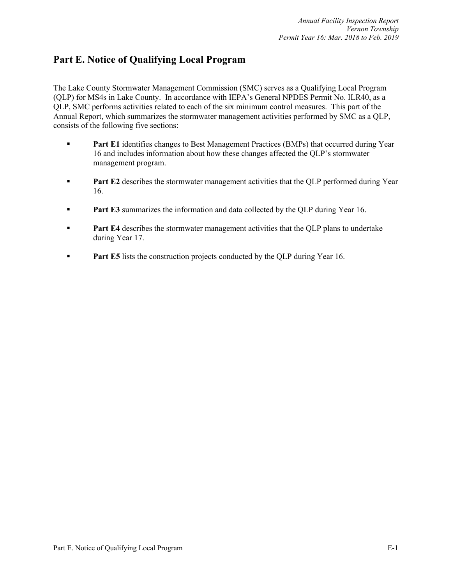# **Part E. Notice of Qualifying Local Program**

The Lake County Stormwater Management Commission (SMC) serves as a Qualifying Local Program (QLP) for MS4s in Lake County. In accordance with IEPA's General NPDES Permit No. ILR40, as a QLP, SMC performs activities related to each of the six minimum control measures. This part of the Annual Report, which summarizes the stormwater management activities performed by SMC as a QLP, consists of the following five sections:

- **Part E1** identifies changes to Best Management Practices (BMPs) that occurred during Year 16 and includes information about how these changes affected the QLP's stormwater management program.
- **Part E2** describes the stormwater management activities that the OLP performed during Year 16.
- **Part E3** summarizes the information and data collected by the QLP during Year 16.
- **Part E4** describes the stormwater management activities that the QLP plans to undertake during Year 17.
- **Part E5** lists the construction projects conducted by the QLP during Year 16.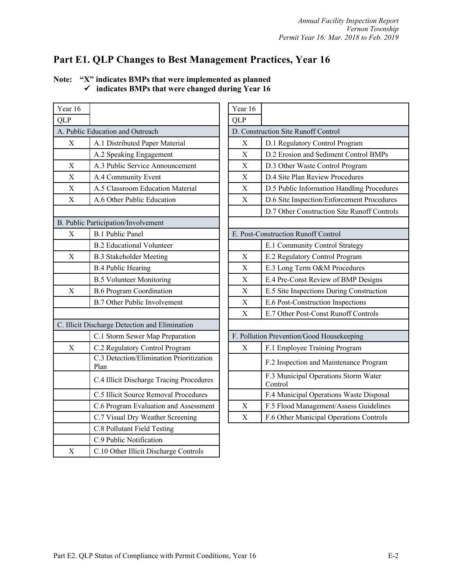# **Part E1. QLP Changes to Best Management Practices, Year 16**

| Year 16                   |                                                  | Year 16                   |                                             |
|---------------------------|--------------------------------------------------|---------------------------|---------------------------------------------|
| QLP                       |                                                  | <b>QLP</b>                |                                             |
|                           | A. Public Education and Outreach                 |                           | D. Construction Site Runoff Control         |
| $\mathbf X$               | A.1 Distributed Paper Material                   | $\boldsymbol{\mathrm{X}}$ | D.1 Regulatory Control Program              |
|                           | A.2 Speaking Engagement                          | $\boldsymbol{\mathrm{X}}$ | D.2 Erosion and Sediment Control            |
| X                         | A.3 Public Service Announcement                  | $\boldsymbol{\mathrm{X}}$ | D.3 Other Waste Control Program             |
| $\boldsymbol{\mathrm{X}}$ | A.4 Community Event                              | X                         | D.4 Site Plan Review Procedures             |
| X                         | A.5 Classroom Education Material                 | X                         | D.5 Public Information Handling I           |
| $\mathbf X$               | A.6 Other Public Education                       | $\boldsymbol{\mathrm{X}}$ | D.6 Site Inspection/Enforcement F           |
|                           |                                                  |                           | D.7 Other Construction Site Runo:           |
|                           | B. Public Participation/Involvement              |                           |                                             |
| X                         | <b>B.1 Public Panel</b>                          |                           | E. Post-Construction Runoff Control         |
|                           | <b>B.2 Educational Volunteer</b>                 |                           | E.1 Community Control Strategy              |
| $\mathbf X$               | <b>B.3 Stakeholder Meeting</b>                   | $\mathbf X$               | E.2 Regulatory Control Program              |
|                           | <b>B.4 Public Hearing</b>                        | X                         | E.3 Long Term O&M Procedures                |
|                           | <b>B.5 Volunteer Monitoring</b>                  | X                         | E.4 Pre-Const Review of BMP De              |
| $\mathbf X$               | <b>B.6 Program Coordination</b>                  | X                         | E.5 Site Inspections During Const           |
|                           | <b>B.7 Other Public Involvement</b>              | $\mathbf X$               | E.6 Post-Construction Inspections           |
|                           |                                                  | $\boldsymbol{\mathrm{X}}$ | E.7 Other Post-Const Runoff Cont            |
|                           | C. Illicit Discharge Detection and Elimination   |                           |                                             |
|                           | C.1 Storm Sewer Map Preparation                  |                           | F. Pollution Prevention/Good Housekeeping   |
| $\mathbf X$               | C.2 Regulatory Control Program                   | X                         | F.1 Employee Training Program               |
|                           | C.3 Detection/Elimination Prioritization<br>Plan |                           | F.2 Inspection and Maintenance P            |
|                           | C.4 Illicit Discharge Tracing Procedures         |                           | F.3 Municipal Operations Storm V<br>Control |
|                           | C.5 Illicit Source Removal Procedures            |                           | F.4 Municipal Operations Waste I            |
|                           | C.6 Program Evaluation and Assessment            | X                         | F.5 Flood Management/Assess Gu              |
|                           | C.7 Visual Dry Weather Screening                 | $\mathbf X$               | F.6 Other Municipal Operations C            |
|                           | C.8 Pollutant Field Testing                      |                           |                                             |
|                           | C.9 Public Notification                          |                           |                                             |
| $\mathbf X$               | C.10 Other Illicit Discharge Controls            |                           |                                             |

| Note: | "X" indicates BMPs that were implemented as planned          |
|-------|--------------------------------------------------------------|
|       | $\checkmark$ indicates BMPs that were changed during Year 16 |

| r 16                    |                                                  | Year 16     |                                                 |
|-------------------------|--------------------------------------------------|-------------|-------------------------------------------------|
| $\mathbf{r}$            |                                                  | <b>QLP</b>  |                                                 |
|                         | Public Education and Outreach                    |             | D. Construction Site Runoff Control             |
| $\overline{X}$          | A.1 Distributed Paper Material                   | X           | D.1 Regulatory Control Program                  |
|                         | A.2 Speaking Engagement                          | X           | D.2 Erosion and Sediment Control BMPs           |
| $\mathbf X$             | A.3 Public Service Announcement                  | X           | D.3 Other Waste Control Program                 |
| $\overline{\mathrm{X}}$ | A.4 Community Event                              | X           | D.4 Site Plan Review Procedures                 |
| $\overline{X}$          | A.5 Classroom Education Material                 | X           | D.5 Public Information Handling Procedures      |
| $\overline{\mathrm{X}}$ | A.6 Other Public Education                       | $\mathbf X$ | D.6 Site Inspection/Enforcement Procedures      |
|                         |                                                  |             | D.7 Other Construction Site Runoff Controls     |
|                         | ublic Participation/Involvement                  |             |                                                 |
| X                       | <b>B.1 Public Panel</b>                          |             | E. Post-Construction Runoff Control             |
|                         | <b>B.2 Educational Volunteer</b>                 |             | E.1 Community Control Strategy                  |
| X                       | <b>B.3 Stakeholder Meeting</b>                   | X           | E.2 Regulatory Control Program                  |
|                         | <b>B.4 Public Hearing</b>                        | $\mathbf X$ | E.3 Long Term O&M Procedures                    |
|                         | <b>B.5 Volunteer Monitoring</b>                  | $\mathbf X$ | E.4 Pre-Const Review of BMP Designs             |
| $\overline{X}$          | <b>B.6 Program Coordination</b>                  | X           | E.5 Site Inspections During Construction        |
|                         | <b>B.7 Other Public Involvement</b>              | $\mathbf X$ | E.6 Post-Construction Inspections               |
|                         |                                                  | X           | E.7 Other Post-Const Runoff Controls            |
|                         | llicit Discharge Detection and Elimination       |             |                                                 |
|                         | C.1 Storm Sewer Map Preparation                  |             | F. Pollution Prevention/Good Housekeeping       |
| X                       | C.2 Regulatory Control Program                   | X           | F.1 Employee Training Program                   |
|                         | C.3 Detection/Elimination Prioritization<br>Plan |             | F.2 Inspection and Maintenance Program          |
|                         | C.4 Illicit Discharge Tracing Procedures         |             | F.3 Municipal Operations Storm Water<br>Control |
|                         | C.5 Illicit Source Removal Procedures            |             | F.4 Municipal Operations Waste Disposal         |
|                         | C.6 Program Evaluation and Assessment            | X           | F.5 Flood Management/Assess Guidelines          |
|                         | C.7 Visual Dry Weather Screening                 | X           | F.6 Other Municipal Operations Controls         |
|                         |                                                  |             |                                                 |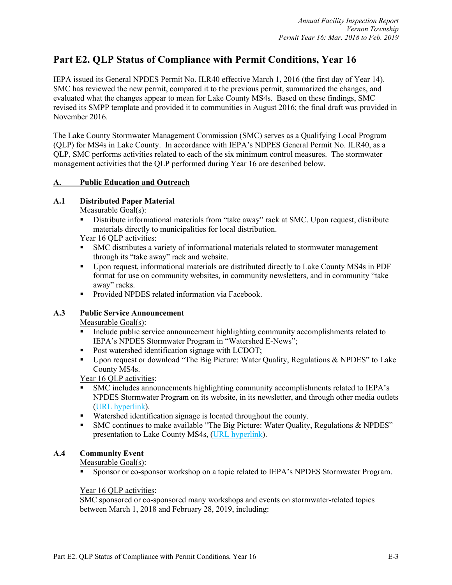# **Part E2. QLP Status of Compliance with Permit Conditions, Year 16**

IEPA issued its General NPDES Permit No. ILR40 effective March 1, 2016 (the first day of Year 14). SMC has reviewed the new permit, compared it to the previous permit, summarized the changes, and evaluated what the changes appear to mean for Lake County MS4s. Based on these findings, SMC revised its SMPP template and provided it to communities in August 2016; the final draft was provided in November 2016.

The Lake County Stormwater Management Commission (SMC) serves as a Qualifying Local Program (QLP) for MS4s in Lake County. In accordance with IEPA's NDPES General Permit No. ILR40, as a QLP, SMC performs activities related to each of the six minimum control measures. The stormwater management activities that the QLP performed during Year 16 are described below.

#### **A. Public Education and Outreach**

#### **A.1 Distributed Paper Material**

Measurable Goal(s):

- Distribute informational materials from "take away" rack at SMC. Upon request, distribute materials directly to municipalities for local distribution.
- Year 16 QLP activities:
- § SMC distributes a variety of informational materials related to stormwater management through its "take away" rack and website.
- § Upon request, informational materials are distributed directly to Lake County MS4s in PDF format for use on community websites, in community newsletters, and in community "take away" racks.
- Provided NPDES related information via Facebook.

# **A.3 Public Service Announcement**

Measurable Goal(s):

- Include public service announcement highlighting community accomplishments related to IEPA's NPDES Stormwater Program in "Watershed E-News";
- Post watershed identification signage with LCDOT;
- § Upon request or download "The Big Picture: Water Quality, Regulations & NPDES" to Lake County MS4s.

Year 16 QLP activities:

- § SMC includes announcements highlighting community accomplishments related to IEPA's NPDES Stormwater Program on its website, in its newsletter, and through other media outlets (URL hyperlink).
- Watershed identification signage is located throughout the county.
- SMC continues to make available "The Big Picture: Water Quality, Regulations & NPDES" presentation to Lake County MS4s, (URL hyperlink).

#### **A.4 Community Event**

Measurable Goal(s):

§ Sponsor or co-sponsor workshop on a topic related to IEPA's NPDES Stormwater Program.

#### Year 16 QLP activities:

SMC sponsored or co-sponsored many workshops and events on stormwater-related topics between March 1, 2018 and February 28, 2019, including: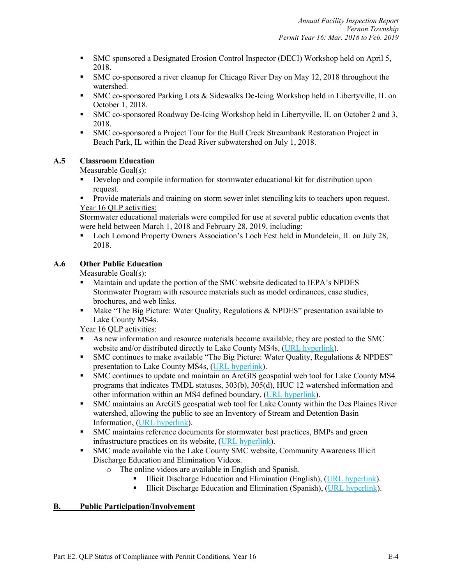- § SMC sponsored a Designated Erosion Control Inspector (DECI) Workshop held on April 5, 2018.
- SMC co-sponsored a river cleanup for Chicago River Day on May 12, 2018 throughout the watershed.
- SMC co-sponsored Parking Lots & Sidewalks De-Icing Workshop held in Libertyville, IL on October 1, 2018.
- § SMC co-sponsored Roadway De-Icing Workshop held in Libertyville, IL on October 2 and 3, 2018.
- § SMC co-sponsored a Project Tour for the Bull Creek Streambank Restoration Project in Beach Park, IL within the Dead River subwatershed on July 1, 2018.

# **A.5 Classroom Education**

Measurable Goal(s):

- Develop and compile information for stormwater educational kit for distribution upon request.
- Provide materials and training on storm sewer inlet stenciling kits to teachers upon request. Year 16 QLP activities:

Stormwater educational materials were compiled for use at several public education events that were held between March 1, 2018 and February 28, 2019, including:

■ Loch Lomond Property Owners Association's Loch Fest held in Mundelein, IL on July 28, 2018.

# **A.6 Other Public Education**

Measurable Goal(s):

- § Maintain and update the portion of the SMC website dedicated to IEPA's NPDES Stormwater Program with resource materials such as model ordinances, case studies, brochures, and web links.
- Make "The Big Picture: Water Quality, Regulations & NPDES" presentation available to Lake County MS4s.

Year 16 QLP activities:

- § As new information and resource materials become available, they are posted to the SMC website and/or distributed directly to Lake County MS4s, (URL hyperlink).
- SMC continues to make available "The Big Picture: Water Quality, Regulations & NPDES" presentation to Lake County MS4s, (URL hyperlink).
- § SMC continues to update and maintain an ArcGIS geospatial web tool for Lake County MS4 programs that indicates TMDL statuses, 303(b), 305(d), HUC 12 watershed information and other information within an MS4 defined boundary, (URL hyperlink).
- § SMC maintains an ArcGIS geospatial web tool for Lake County within the Des Plaines River watershed, allowing the public to see an Inventory of Stream and Detention Basin Information, (URL hyperlink).
- § SMC maintains reference documents for stormwater best practices, BMPs and green infrastructure practices on its website, (URL hyperlink).
- § SMC made available via the Lake County SMC website, Community Awareness Illicit Discharge Education and Elimination Videos.
	- o The online videos are available in English and Spanish.
		- Illicit Discharge Education and Elimination (English), (URL hyperlink).
		- **•** Illicit Discharge Education and Elimination (Spanish), (URL hyperlink).

# **B. Public Participation/Involvement**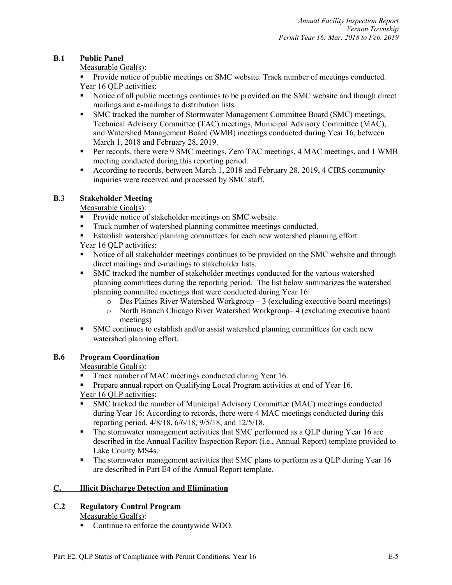# **B.1 Public Panel**

Measurable Goal(s):

■ Provide notice of public meetings on SMC website. Track number of meetings conducted. Year 16 QLP activities:

- Notice of all public meetings continues to be provided on the SMC website and though direct mailings and e-mailings to distribution lists.
- § SMC tracked the number of Stormwater Management Committee Board (SMC) meetings, Technical Advisory Committee (TAC) meetings, Municipal Advisory Committee (MAC), and Watershed Management Board (WMB) meetings conducted during Year 16, between March 1, 2018 and February 28, 2019.
- Per records, there were 9 SMC meetings, Zero TAC meetings, 4 MAC meetings, and 1 WMB meeting conducted during this reporting period.
- According to records, between March 1, 2018 and February 28, 2019, 4 CIRS community inquiries were received and processed by SMC staff.

# **B.3 Stakeholder Meeting**

Measurable Goal(s):

- Provide notice of stakeholder meetings on SMC website.
- Track number of watershed planning committee meetings conducted.
- Establish watershed planning committees for each new watershed planning effort.

# Year 16 QLP activities:

- Notice of all stakeholder meetings continues to be provided on the SMC website and through direct mailings and e-mailings to stakeholder lists.
- § SMC tracked the number of stakeholder meetings conducted for the various watershed planning committees during the reporting period. The list below summarizes the watershed planning committee meetings that were conducted during Year 16:
	- o Des Plaines River Watershed Workgroup 3 (excluding executive board meetings)
	- o North Branch Chicago River Watershed Workgroup– 4 (excluding executive board meetings)
- SMC continues to establish and/or assist watershed planning committees for each new watershed planning effort.

# **B.6 Program Coordination**

Measurable Goal(s):

- Track number of MAC meetings conducted during Year 16.
- **Prepare annual report on Qualifying Local Program activities at end of Year 16.** Year 16 QLP activities:
- § SMC tracked the number of Municipal Advisory Committee (MAC) meetings conducted during Year 16: According to records, there were 4 MAC meetings conducted during this reporting period. 4/8/18, 6/6/18, 9/5/18, and 12/5/18.
- The stormwater management activities that SMC performed as a QLP during Year 16 are described in the Annual Facility Inspection Report (i.e., Annual Report) template provided to Lake County MS4s.
- The stormwater management activities that SMC plans to perform as a QLP during Year 16 are described in Part E4 of the Annual Report template.

# **C. Illicit Discharge Detection and Elimination**

# **C.2 Regulatory Control Program**

Measurable Goal(s):

■ Continue to enforce the countywide WDO.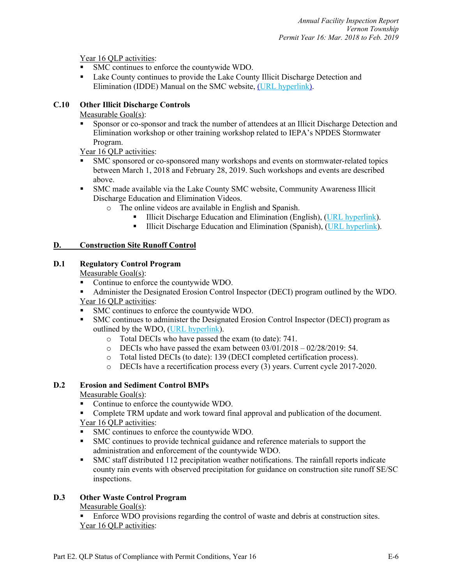Year 16 OLP activities:

- SMC continues to enforce the countywide WDO.
- Lake County continues to provide the Lake County Illicit Discharge Detection and Elimination (IDDE) Manual on the SMC website, (URL hyperlink).

# **C.10 Other Illicit Discharge Controls**

# Measurable Goal(s):

§ Sponsor or co-sponsor and track the number of attendees at an Illicit Discharge Detection and Elimination workshop or other training workshop related to IEPA's NPDES Stormwater Program.

Year 16 QLP activities:

- § SMC sponsored or co-sponsored many workshops and events on stormwater-related topics between March 1, 2018 and February 28, 2019. Such workshops and events are described above.
- § SMC made available via the Lake County SMC website, Community Awareness Illicit Discharge Education and Elimination Videos.
	- o The online videos are available in English and Spanish.
		- Illicit Discharge Education and Elimination (English), (URL hyperlink).
		- **•** Illicit Discharge Education and Elimination (Spanish), (URL hyperlink).

# **D. Construction Site Runoff Control**

# **D.1 Regulatory Control Program**

Measurable Goal(s):

- Continue to enforce the countywide WDO.
- Administer the Designated Erosion Control Inspector (DECI) program outlined by the WDO. Year 16 QLP activities:
- SMC continues to enforce the countywide WDO.
- § SMC continues to administer the Designated Erosion Control Inspector (DECI) program as outlined by the WDO, (URL hyperlink).
	- o Total DECIs who have passed the exam (to date): 741.
	- $\degree$  DECIs who have passed the exam between  $03/01/2018 02/28/2019$ : 54.
	- o Total listed DECIs (to date): 139 (DECI completed certification process).
	- o DECIs have a recertification process every (3) years. Current cycle 2017-2020.

# **D.2 Erosion and Sediment Control BMPs**

Measurable Goal(s):

■ Continue to enforce the countywide WDO.

■ Complete TRM update and work toward final approval and publication of the document. Year 16 QLP activities:

- § SMC continues to enforce the countywide WDO.
- § SMC continues to provide technical guidance and reference materials to support the administration and enforcement of the countywide WDO.
- § SMC staff distributed 112 precipitation weather notifications. The rainfall reports indicate county rain events with observed precipitation for guidance on construction site runoff SE/SC inspections.

# **D.3 Other Waste Control Program**

Measurable Goal(s):

■ Enforce WDO provisions regarding the control of waste and debris at construction sites. Year 16 QLP activities: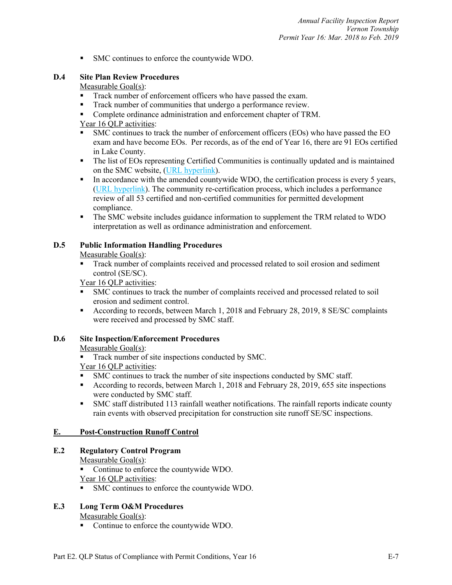■ SMC continues to enforce the countywide WDO.

# **D.4 Site Plan Review Procedures**

# Measurable Goal(s):

- Track number of enforcement officers who have passed the exam.
- Track number of communities that undergo a performance review.
- Complete ordinance administration and enforcement chapter of TRM.

# Year 16 QLP activities:

- § SMC continues to track the number of enforcement officers (EOs) who have passed the EO exam and have become EOs. Per records, as of the end of Year 16, there are 91 EOs certified in Lake County.
- The list of EOs representing Certified Communities is continually updated and is maintained on the SMC website, (URL hyperlink).
- In accordance with the amended countywide WDO, the certification process is every 5 years, (URL hyperlink). The community re-certification process, which includes a performance review of all 53 certified and non-certified communities for permitted development compliance.
- § The SMC website includes guidance information to supplement the TRM related to WDO interpretation as well as ordinance administration and enforcement.

# **D.5 Public Information Handling Procedures**

# Measurable Goal(s):

Track number of complaints received and processed related to soil erosion and sediment control (SE/SC).

Year 16 QLP activities:

- § SMC continues to track the number of complaints received and processed related to soil erosion and sediment control.
- According to records, between March 1, 2018 and February 28, 2019, 8 SE/SC complaints were received and processed by SMC staff.

# **D.6 Site Inspection/Enforcement Procedures**

Measurable Goal(s):

**•** Track number of site inspections conducted by SMC.

# Year 16 QLP activities:

- § SMC continues to track the number of site inspections conducted by SMC staff.
- According to records, between March 1, 2018 and February 28, 2019, 655 site inspections were conducted by SMC staff.
- § SMC staff distributed 113 rainfall weather notifications. The rainfall reports indicate county rain events with observed precipitation for construction site runoff SE/SC inspections.

# **E. Post-Construction Runoff Control**

# **E.2 Regulatory Control Program**

# Measurable Goal(s):

- Continue to enforce the countywide WDO.
- Year 16 QLP activities:
- § SMC continues to enforce the countywide WDO.

# **E.3 Long Term O&M Procedures**

Measurable Goal(s):

■ Continue to enforce the countywide WDO.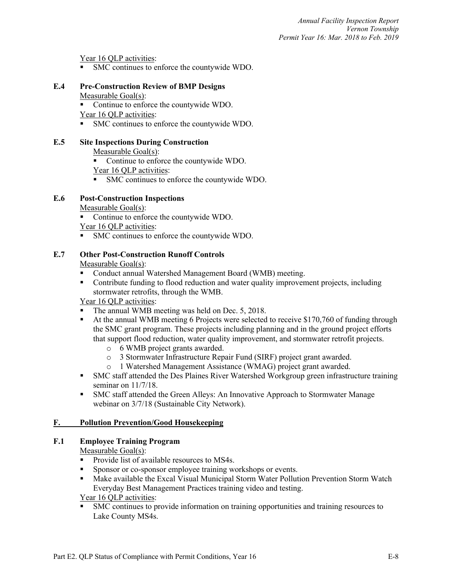Year 16 QLP activities:

§ SMC continues to enforce the countywide WDO.

#### **E.4 Pre-Construction Review of BMP Designs** Measurable Goal(s):

■ Continue to enforce the countywide WDO.

Year 16 QLP activities:

§ SMC continues to enforce the countywide WDO.

# **E.5 Site Inspections During Construction**

Measurable Goal(s):

- Continue to enforce the countywide WDO.
- Year 16 OLP activities:
- SMC continues to enforce the countywide WDO.

# **E.6 Post-Construction Inspections**

Measurable Goal(s):

■ Continue to enforce the countywide WDO.

Year 16 QLP activities:

§ SMC continues to enforce the countywide WDO.

# **E.7 Other Post-Construction Runoff Controls**

Measurable Goal(s):

- Conduct annual Watershed Management Board (WMB) meeting.
- Contribute funding to flood reduction and water quality improvement projects, including stormwater retrofits, through the WMB.

Year 16 QLP activities:

- The annual WMB meeting was held on Dec. 5, 2018.
- At the annual WMB meeting 6 Projects were selected to receive \$170,760 of funding through the SMC grant program. These projects including planning and in the ground project efforts that support flood reduction, water quality improvement, and stormwater retrofit projects.
	- o 6 WMB project grants awarded.
	- o 3 Stormwater Infrastructure Repair Fund (SIRF) project grant awarded.
	- o 1 Watershed Management Assistance (WMAG) project grant awarded.
- § SMC staff attended the Des Plaines River Watershed Workgroup green infrastructure training seminar on 11/7/18.
- § SMC staff attended the Green Alleys: An Innovative Approach to Stormwater Manage webinar on 3/7/18 (Sustainable City Network).

# **F. Pollution Prevention/Good Housekeeping**

# **F.1 Employee Training Program**

Measurable Goal(s):

- Provide list of available resources to MS4s.
- Sponsor or co-sponsor employee training workshops or events.
- Make available the Excal Visual Municipal Storm Water Pollution Prevention Storm Watch Everyday Best Management Practices training video and testing.

Year 16 QLP activities:

§ SMC continues to provide information on training opportunities and training resources to Lake County MS4s.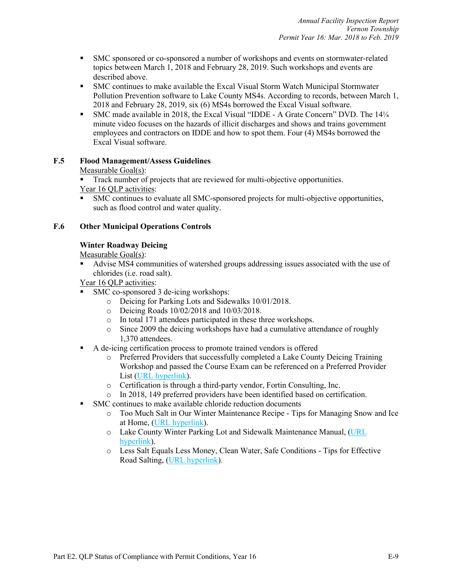- § SMC sponsored or co-sponsored a number of workshops and events on stormwater-related topics between March 1, 2018 and February 28, 2019. Such workshops and events are described above.
- SMC continues to make available the Excal Visual Storm Watch Municipal Stormwater Pollution Prevention software to Lake County MS4s. According to records, between March 1, 2018 and February 28, 2019, six (6) MS4s borrowed the Excal Visual software.
- § SMC made available in 2018, the Excal Visual "IDDE A Grate Concern" DVD. The 14¼ minute video focuses on the hazards of illicit discharges and shows and trains government employees and contractors on IDDE and how to spot them. Four (4) MS4s borrowed the Excal Visual software.

# **F.5 Flood Management/Assess Guidelines**

# Measurable Goal(s):

Track number of projects that are reviewed for multi-objective opportunities. Year 16 QLP activities:

§ SMC continues to evaluate all SMC-sponsored projects for multi-objective opportunities, such as flood control and water quality.

# **F.6 Other Municipal Operations Controls**

# **Winter Roadway Deicing**

Measurable Goal(s):

§ Advise MS4 communities of watershed groups addressing issues associated with the use of chlorides (i.e. road salt).

Year 16 OLP activities:

- § SMC co-sponsored 3 de-icing workshops:
	- o Deicing for Parking Lots and Sidewalks 10/01/2018.
	- o Deicing Roads 10/02/2018 and 10/03/2018.
	- o In total 171 attendees participated in these three workshops.
	- o Since 2009 the deicing workshops have had a cumulative attendance of roughly 1,370 attendees.
- A de-icing certification process to promote trained vendors is offered
	- o Preferred Providers that successfully completed a Lake County Deicing Training Workshop and passed the Course Exam can be referenced on a Preferred Provider List (URL hyperlink).
	- o Certification is through a third-party vendor, Fortin Consulting, Inc.
	- o In 2018, 149 preferred providers have been identified based on certification.
- SMC continues to make available chloride reduction documents
	- o Too Much Salt in Our Winter Maintenance Recipe Tips for Managing Snow and Ice at Home, (URL hyperlink).
	- o Lake County Winter Parking Lot and Sidewalk Maintenance Manual, (URL hyperlink).
	- o Less Salt Equals Less Money, Clean Water, Safe Conditions Tips for Effective Road Salting, (URL hyperlink).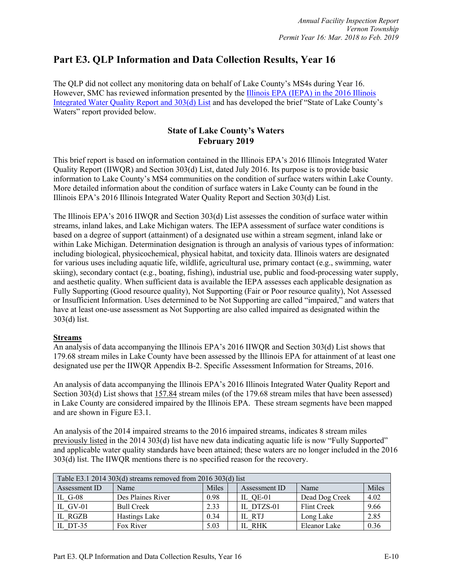# **Part E3. QLP Information and Data Collection Results, Year 16**

The QLP did not collect any monitoring data on behalf of Lake County's MS4s during Year 16. However, SMC has reviewed information presented by the Illinois EPA (IEPA) in the 2016 Illinois Integrated Water Quality Report and 303(d) List and has developed the brief "State of Lake County's Waters" report provided below.

# **State of Lake County's Waters February 2019**

This brief report is based on information contained in the Illinois EPA's 2016 Illinois Integrated Water Quality Report (IIWQR) and Section 303(d) List, dated July 2016. Its purpose is to provide basic information to Lake County's MS4 communities on the condition of surface waters within Lake County. More detailed information about the condition of surface waters in Lake County can be found in the Illinois EPA's 2016 Illinois Integrated Water Quality Report and Section 303(d) List.

The Illinois EPA's 2016 IIWQR and Section 303(d) List assesses the condition of surface water within streams, inland lakes, and Lake Michigan waters. The IEPA assessment of surface water conditions is based on a degree of support (attainment) of a designated use within a stream segment, inland lake or within Lake Michigan. Determination designation is through an analysis of various types of information: including biological, physicochemical, physical habitat, and toxicity data. Illinois waters are designated for various uses including aquatic life, wildlife, agricultural use, primary contact (e.g., swimming, water skiing), secondary contact (e.g., boating, fishing), industrial use, public and food-processing water supply, and aesthetic quality. When sufficient data is available the IEPA assesses each applicable designation as Fully Supporting (Good resource quality), Not Supporting (Fair or Poor resource quality), Not Assessed or Insufficient Information. Uses determined to be Not Supporting are called "impaired," and waters that have at least one-use assessment as Not Supporting are also called impaired as designated within the 303(d) list.

# **Streams**

An analysis of data accompanying the Illinois EPA's 2016 IIWQR and Section 303(d) List shows that 179.68 stream miles in Lake County have been assessed by the Illinois EPA for attainment of at least one designated use per the IIWQR Appendix B-2. Specific Assessment Information for Streams, 2016.

An analysis of data accompanying the Illinois EPA's 2016 Illinois Integrated Water Quality Report and Section 303(d) List shows that 157.84 stream miles (of the 179.68 stream miles that have been assessed) in Lake County are considered impaired by the Illinois EPA. These stream segments have been mapped and are shown in Figure E3.1.

An analysis of the 2014 impaired streams to the 2016 impaired streams, indicates 8 stream miles previously listed in the 2014 303(d) list have new data indicating aquatic life is now "Fully Supported" and applicable water quality standards have been attained; these waters are no longer included in the 2016 303(d) list. The IIWQR mentions there is no specified reason for the recovery.

| Table E3.1 2014 303(d) streams removed from 2016 303(d) list |                   |       |               |                |       |  |  |  |
|--------------------------------------------------------------|-------------------|-------|---------------|----------------|-------|--|--|--|
| Assessment ID                                                | Name              | Miles | Assessment ID | Name           | Miles |  |  |  |
| IL $G-08$                                                    | Des Plaines River | 0.98  | IL QE-01      | Dead Dog Creek | 4.02  |  |  |  |
| IL GV-01                                                     | <b>Bull Creek</b> | 2.33  | IL DTZS-01    | Flint Creek    | 9.66  |  |  |  |
| IL RGZB                                                      | Hastings Lake     | 0.34  | IL RTJ        | Long Lake      | 2.85  |  |  |  |
| IL DT-35                                                     | Fox River         | 5.03  | IL RHK        | Eleanor Lake   | 0.36  |  |  |  |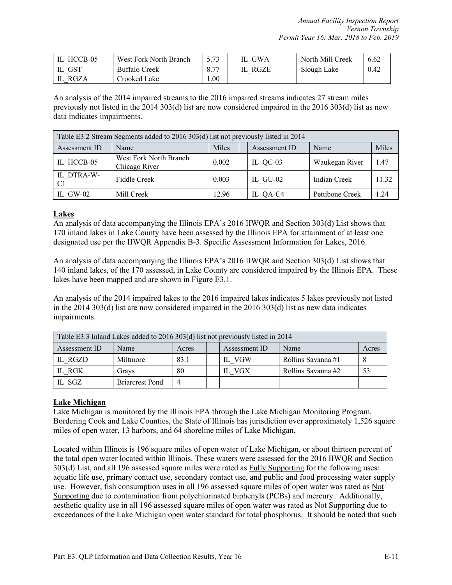| IL HCCB-05 | West Fork North Branch |      | <b>GWA</b> | North Mill Creek | 6.62 |
|------------|------------------------|------|------------|------------------|------|
| <b>GST</b> | <b>Buffalo Creek</b>   | 8.77 | RGZE       | Slough Lake      | 0.42 |
| IL RGZA    | Crooked Lake           | .00. |            |                  |      |

An analysis of the 2014 impaired streams to the 2016 impaired streams indicates 27 stream miles previously not listed in the 2014 303(d) list are now considered impaired in the 2016 303(d) list as new data indicates impairments.

| Table E3.2 Stream Segments added to 2016 303(d) list not previously listed in 2014 |                                         |       |  |            |                 |       |  |  |
|------------------------------------------------------------------------------------|-----------------------------------------|-------|--|------------|-----------------|-------|--|--|
| Miles<br><b>Miles</b><br>Assessment ID<br>Name<br>Assessment ID<br>Name            |                                         |       |  |            |                 |       |  |  |
| IL HCCB-05                                                                         | West Fork North Branch<br>Chicago River | 0.002 |  | IL $QC-03$ | Waukegan River  | 1.47  |  |  |
| IL DTRA-W-<br>C1                                                                   | Fiddle Creek                            | 0.003 |  | IL GU-02   | Indian Creek    | 11.32 |  |  |
| IL GW-02                                                                           | Mill Creek                              | 12.96 |  | IL QA-C4   | Pettibone Creek | 1.24  |  |  |

#### **Lakes**

An analysis of data accompanying the Illinois EPA's 2016 IIWQR and Section 303(d) List shows that 170 inland lakes in Lake County have been assessed by the Illinois EPA for attainment of at least one designated use per the IIWQR Appendix B-3. Specific Assessment Information for Lakes, 2016.

An analysis of data accompanying the Illinois EPA's 2016 IIWQR and Section 303(d) List shows that 140 inland lakes, of the 170 assessed, in Lake County are considered impaired by the Illinois EPA. These lakes have been mapped and are shown in Figure E3.1.

An analysis of the 2014 impaired lakes to the 2016 impaired lakes indicates 5 lakes previously not listed in the 2014 303(d) list are now considered impaired in the 2016 303(d) list as new data indicates impairments.

| Table E3.3 Inland Lakes added to 2016 303(d) list not previously listed in 2014 |                        |       |  |               |                    |    |  |
|---------------------------------------------------------------------------------|------------------------|-------|--|---------------|--------------------|----|--|
| Assessment ID                                                                   | Name                   | Acres |  | Assessment ID | Name               |    |  |
| IL RGZD                                                                         | Miltmore               | 83.1  |  | IL VGW        | Rollins Savanna #1 |    |  |
| IL RGK                                                                          | Gravs                  | 80    |  | IL VGX        | Rollins Savanna #2 | 53 |  |
| IL SGZ                                                                          | <b>Briarcrest Pond</b> |       |  |               |                    |    |  |

# **Lake Michigan**

Lake Michigan is monitored by the Illinois EPA through the Lake Michigan Monitoring Program. Bordering Cook and Lake Counties, the State of Illinois has jurisdiction over approximately 1,526 square miles of open water, 13 harbors, and 64 shoreline miles of Lake Michigan.

Located within Illinois is 196 square miles of open water of Lake Michigan, or about thirteen percent of the total open water located within Illinois. These waters were assessed for the 2016 IIWQR and Section 303(d) List, and all 196 assessed square miles were rated as Fully Supporting for the following uses: aquatic life use, primary contact use, secondary contact use, and public and food processing water supply use. However, fish consumption uses in all 196 assessed square miles of open water was rated as Not Supporting due to contamination from polychlorinated biphenyls (PCBs) and mercury. Additionally, aesthetic quality use in all 196 assessed square miles of open water was rated as Not Supporting due to exceedances of the Lake Michigan open water standard for total phosphorus. It should be noted that such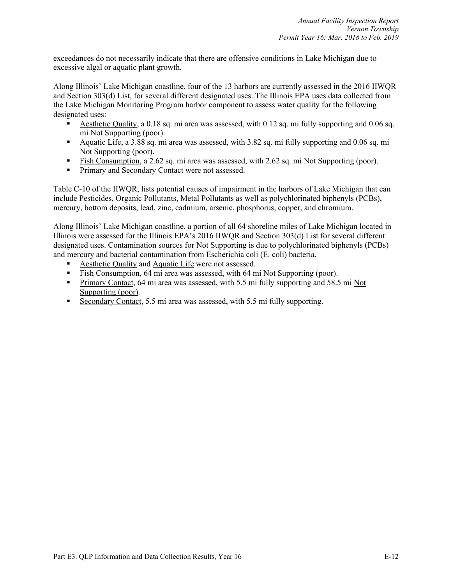exceedances do not necessarily indicate that there are offensive conditions in Lake Michigan due to excessive algal or aquatic plant growth.

Along Illinois' Lake Michigan coastline, four of the 13 harbors are currently assessed in the 2016 IIWQR and Section 303(d) List, for several different designated uses. The Illinois EPA uses data collected from the Lake Michigan Monitoring Program harbor component to assess water quality for the following designated uses:

- § Aesthetic Quality, a 0.18 sq. mi area was assessed, with 0.12 sq. mi fully supporting and 0.06 sq. mi Not Supporting (poor).
- Aquatic Life, a 3.88 sq. mi area was assessed, with 3.82 sq. mi fully supporting and 0.06 sq. mi Not Supporting (poor).
- Fish Consumption, a 2.62 sq. mi area was assessed, with 2.62 sq. mi Not Supporting (poor).
- **•** Primary and Secondary Contact were not assessed.

Table C-10 of the IIWQR, lists potential causes of impairment in the harbors of Lake Michigan that can include Pesticides, Organic Pollutants, Metal Pollutants as well as polychlorinated biphenyls (PCBs), mercury, bottom deposits, lead, zinc, cadmium, arsenic, phosphorus, copper, and chromium.

Along Illinois' Lake Michigan coastline, a portion of all 64 shoreline miles of Lake Michigan located in Illinois were assessed for the Illinois EPA's 2016 IIWQR and Section 303(d) List for several different designated uses. Contamination sources for Not Supporting is due to polychlorinated biphenyls (PCBs) and mercury and bacterial contamination from Escherichia coli (E. coli) bacteria.

- Aesthetic Quality and Aquatic Life were not assessed.
- Fish Consumption, 64 mi area was assessed, with 64 mi Not Supporting (poor).
- Primary Contact, 64 mi area was assessed, with 5.5 mi fully supporting and 58.5 mi Not Supporting (poor).
- Secondary Contact, 5.5 mi area was assessed, with 5.5 mi fully supporting.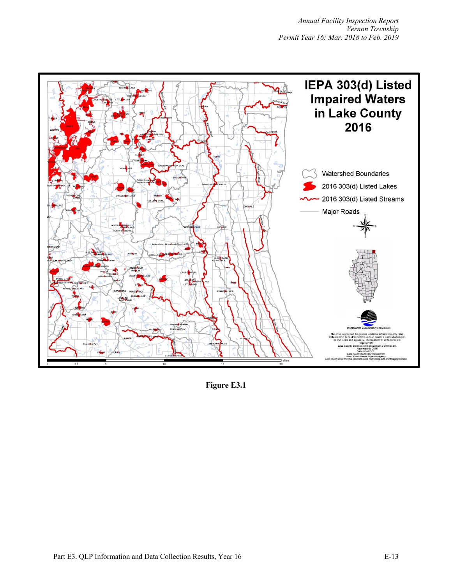

**Figure E3.1**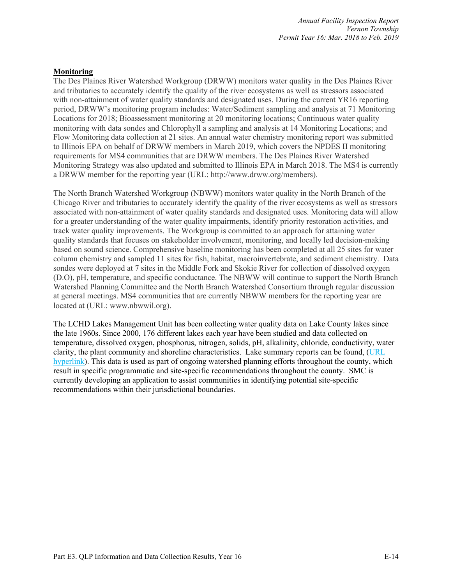#### **Monitoring**

The Des Plaines River Watershed Workgroup (DRWW) monitors water quality in the Des Plaines River and tributaries to accurately identify the quality of the river ecosystems as well as stressors associated with non-attainment of water quality standards and designated uses. During the current YR16 reporting period, DRWW's monitoring program includes: Water/Sediment sampling and analysis at 71 Monitoring Locations for 2018; Bioassessment monitoring at 20 monitoring locations; Continuous water quality monitoring with data sondes and Chlorophyll a sampling and analysis at 14 Monitoring Locations; and Flow Monitoring data collection at 21 sites. An annual water chemistry monitoring report was submitted to Illinois EPA on behalf of DRWW members in March 2019, which covers the NPDES II monitoring requirements for MS4 communities that are DRWW members. The Des Plaines River Watershed Monitoring Strategy was also updated and submitted to Illinois EPA in March 2018. The MS4 is currently a DRWW member for the reporting year (URL: http://www.drww.org/members).

The North Branch Watershed Workgroup (NBWW) monitors water quality in the North Branch of the Chicago River and tributaries to accurately identify the quality of the river ecosystems as well as stressors associated with non-attainment of water quality standards and designated uses. Monitoring data will allow for a greater understanding of the water quality impairments, identify priority restoration activities, and track water quality improvements. The Workgroup is committed to an approach for attaining water quality standards that focuses on stakeholder involvement, monitoring, and locally led decision-making based on sound science. Comprehensive baseline monitoring has been completed at all 25 sites for water column chemistry and sampled 11 sites for fish, habitat, macroinvertebrate, and sediment chemistry. Data sondes were deployed at 7 sites in the Middle Fork and Skokie River for collection of dissolved oxygen (D.O), pH, temperature, and specific conductance. The NBWW will continue to support the North Branch Watershed Planning Committee and the North Branch Watershed Consortium through regular discussion at general meetings. MS4 communities that are currently NBWW members for the reporting year are located at (URL: www.nbwwil.org).

The LCHD Lakes Management Unit has been collecting water quality data on Lake County lakes since the late 1960s. Since 2000, 176 different lakes each year have been studied and data collected on temperature, dissolved oxygen, phosphorus, nitrogen, solids, pH, alkalinity, chloride, conductivity, water clarity, the plant community and shoreline characteristics. Lake summary reports can be found, (URL hyperlink). This data is used as part of ongoing watershed planning efforts throughout the county, which result in specific programmatic and site-specific recommendations throughout the county. SMC is currently developing an application to assist communities in identifying potential site-specific recommendations within their jurisdictional boundaries.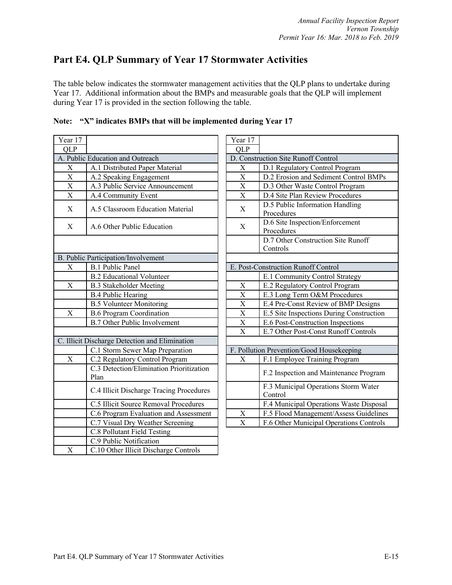# **Part E4. QLP Summary of Year 17 Stormwater Activities**

The table below indicates the stormwater management activities that the QLP plans to undertake during Year 17. Additional information about the BMPs and measurable goals that the QLP will implement during Year 17 is provided in the section following the table.

|                                                  | Year 17                                                                   |                                               |
|--------------------------------------------------|---------------------------------------------------------------------------|-----------------------------------------------|
|                                                  | <b>QLP</b>                                                                |                                               |
| A. Public Education and Outreach                 |                                                                           | D. Construction Site Runoff Control           |
| A.1 Distributed Paper Material                   | X                                                                         | D.1 Regulatory Control Program                |
| A.2 Speaking Engagement                          | $\mathbf X$                                                               | D.2 Erosion and Sediment Control              |
| A.3 Public Service Announcement                  | X                                                                         | D.3 Other Waste Control Program               |
| A.4 Community Event                              | X                                                                         | D.4 Site Plan Review Procedures               |
| A.5 Classroom Education Material                 | X                                                                         | D.5 Public Information Handling<br>Procedures |
| A.6 Other Public Education                       | X                                                                         | D.6 Site Inspection/Enforcement<br>Procedures |
|                                                  |                                                                           | D.7 Other Construction Site Runo:<br>Controls |
|                                                  |                                                                           |                                               |
| <b>B.1 Public Panel</b>                          |                                                                           | E. Post-Construction Runoff Control           |
| <b>B.2 Educational Volunteer</b>                 |                                                                           | E.1 Community Control Strategy                |
| <b>B.3 Stakeholder Meeting</b>                   | X                                                                         | E.2 Regulatory Control Program                |
| <b>B.4 Public Hearing</b>                        | $\overline{\mathrm{X}}$                                                   | E.3 Long Term O&M Procedures                  |
| <b>B.5 Volunteer Monitoring</b>                  | $\mathbf X$                                                               | E.4 Pre-Const Review of BMP De                |
| <b>B.6 Program Coordination</b>                  | X                                                                         | E.5 Site Inspections During Consti            |
| <b>B.7 Other Public Involvement</b>              | $\mathbf X$                                                               | E.6 Post-Construction Inspections             |
|                                                  | $\overline{\mathrm{X}}$                                                   | E.7 Other Post-Const Runoff Cont              |
| C. Illicit Discharge Detection and Elimination   |                                                                           |                                               |
| C.1 Storm Sewer Map Preparation                  |                                                                           | F. Pollution Prevention/Good Housekeeping     |
| C.2 Regulatory Control Program                   | X                                                                         | F.1 Employee Training Program                 |
| C.3 Detection/Elimination Prioritization<br>Plan |                                                                           | F.2 Inspection and Maintenance P              |
| C.4 Illicit Discharge Tracing Procedures         |                                                                           | F.3 Municipal Operations Storm V<br>Control   |
| C.5 Illicit Source Removal Procedures            |                                                                           | F.4 Municipal Operations Waste I              |
| C.6 Program Evaluation and Assessment            | X                                                                         | F.5 Flood Management/Assess Gu                |
| C.7 Visual Dry Weather Screening                 | $\overline{X}$                                                            | F.6 Other Municipal Operations C              |
|                                                  |                                                                           |                                               |
| C.9 Public Notification                          |                                                                           |                                               |
| C.10 Other Illicit Discharge Controls            |                                                                           |                                               |
|                                                  | <b>B. Public Participation/Involvement</b><br>C.8 Pollutant Field Testing |                                               |

| Note: "X" indicates BMPs that will be implemented during Year 17 |  |  |  |
|------------------------------------------------------------------|--|--|--|
|                                                                  |  |  |  |

| ar 17                               |                                                  | Year 17                                   |                                                 |  |
|-------------------------------------|--------------------------------------------------|-------------------------------------------|-------------------------------------------------|--|
| LP                                  |                                                  | <b>QLP</b>                                |                                                 |  |
| Public Education and Outreach       |                                                  | D. Construction Site Runoff Control       |                                                 |  |
| $\overline{X}$                      | A.1 Distributed Paper Material                   | X                                         | D.1 Regulatory Control Program                  |  |
|                                     | A.2 Speaking Engagement                          | X                                         | D.2 Erosion and Sediment Control BMPs           |  |
|                                     | A.3 Public Service Announcement                  | $\mathbf X$                               | D.3 Other Waste Control Program                 |  |
| $\frac{\overline{X}}{\overline{X}}$ | A.4 Community Event                              | X                                         | D.4 Site Plan Review Procedures                 |  |
| X                                   | A.5 Classroom Education Material                 | X                                         | D.5 Public Information Handling<br>Procedures   |  |
| $\rm X$                             | A.6 Other Public Education                       | X                                         | D.6 Site Inspection/Enforcement<br>Procedures   |  |
|                                     |                                                  |                                           | D.7 Other Construction Site Runoff<br>Controls  |  |
|                                     | Public Participation/Involvement                 |                                           |                                                 |  |
| $\overline{\mathrm{X}}$             | <b>B.1 Public Panel</b>                          | E. Post-Construction Runoff Control       |                                                 |  |
|                                     | <b>B.2 Educational Volunteer</b>                 |                                           | E.1 Community Control Strategy                  |  |
| $\overline{\mathrm{X}}$             | <b>B.3 Stakeholder Meeting</b>                   | X                                         | E.2 Regulatory Control Program                  |  |
|                                     | <b>B.4 Public Hearing</b>                        | $\mathbf X$                               | E.3 Long Term O&M Procedures                    |  |
|                                     | <b>B.5 Volunteer Monitoring</b>                  | X                                         | E.4 Pre-Const Review of BMP Designs             |  |
| $\overline{\text{X}}$               | <b>B.6 Program Coordination</b>                  | X                                         | E.5 Site Inspections During Construction        |  |
|                                     | <b>B.7 Other Public Involvement</b>              | X                                         | E.6 Post-Construction Inspections               |  |
|                                     |                                                  | $\overline{\mathbf{X}}$                   | E.7 Other Post-Const Runoff Controls            |  |
|                                     | Illicit Discharge Detection and Elimination      |                                           |                                                 |  |
|                                     | C.1 Storm Sewer Map Preparation                  | F. Pollution Prevention/Good Housekeeping |                                                 |  |
| X                                   | C.2 Regulatory Control Program                   | X                                         | F.1 Employee Training Program                   |  |
|                                     | C.3 Detection/Elimination Prioritization<br>Plan |                                           | F.2 Inspection and Maintenance Program          |  |
|                                     | C.4 Illicit Discharge Tracing Procedures         |                                           | F.3 Municipal Operations Storm Water<br>Control |  |
|                                     | C.5 Illicit Source Removal Procedures            |                                           | F.4 Municipal Operations Waste Disposal         |  |
|                                     | C.6 Program Evaluation and Assessment            | X                                         | F.5 Flood Management/Assess Guidelines          |  |
|                                     | C.7 Visual Dry Weather Screening                 | X                                         | F.6 Other Municipal Operations Controls         |  |
|                                     | C 8 Pollutant Field Testing                      |                                           |                                                 |  |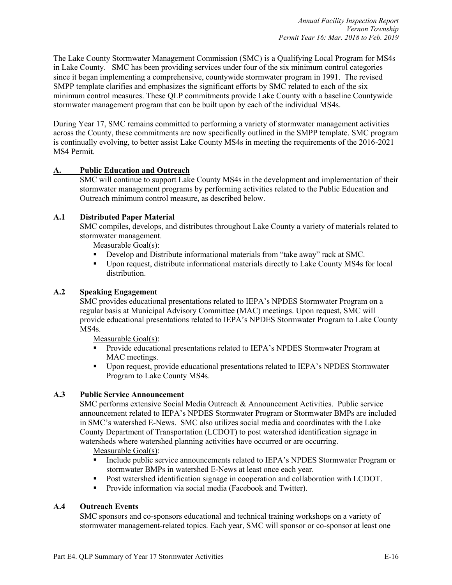The Lake County Stormwater Management Commission (SMC) is a Qualifying Local Program for MS4s in Lake County. SMC has been providing services under four of the six minimum control categories since it began implementing a comprehensive, countywide stormwater program in 1991. The revised SMPP template clarifies and emphasizes the significant efforts by SMC related to each of the six minimum control measures. These QLP commitments provide Lake County with a baseline Countywide stormwater management program that can be built upon by each of the individual MS4s.

During Year 17, SMC remains committed to performing a variety of stormwater management activities across the County, these commitments are now specifically outlined in the SMPP template. SMC program is continually evolving, to better assist Lake County MS4s in meeting the requirements of the 2016-2021 MS4 Permit.

# **A. Public Education and Outreach**

SMC will continue to support Lake County MS4s in the development and implementation of their stormwater management programs by performing activities related to the Public Education and Outreach minimum control measure, as described below.

#### **A.1 Distributed Paper Material**

SMC compiles, develops, and distributes throughout Lake County a variety of materials related to stormwater management.

Measurable Goal(s):

- § Develop and Distribute informational materials from "take away" rack at SMC.
- § Upon request, distribute informational materials directly to Lake County MS4s for local distribution.

#### **A.2 Speaking Engagement**

SMC provides educational presentations related to IEPA's NPDES Stormwater Program on a regular basis at Municipal Advisory Committee (MAC) meetings. Upon request, SMC will provide educational presentations related to IEPA's NPDES Stormwater Program to Lake County MS4s.

Measurable Goal(s):

- § Provide educational presentations related to IEPA's NPDES Stormwater Program at MAC meetings.
- § Upon request, provide educational presentations related to IEPA's NPDES Stormwater Program to Lake County MS4s.

# **A.3 Public Service Announcement**

SMC performs extensive Social Media Outreach & Announcement Activities. Public service announcement related to IEPA's NPDES Stormwater Program or Stormwater BMPs are included in SMC's watershed E-News. SMC also utilizes social media and coordinates with the Lake County Department of Transportation (LCDOT) to post watershed identification signage in watersheds where watershed planning activities have occurred or are occurring.

Measurable Goal(s):

- § Include public service announcements related to IEPA's NPDES Stormwater Program or stormwater BMPs in watershed E-News at least once each year.
- Post watershed identification signage in cooperation and collaboration with LCDOT.
- Provide information via social media (Facebook and Twitter).

# **A.4 Outreach Events**

SMC sponsors and co-sponsors educational and technical training workshops on a variety of stormwater management-related topics. Each year, SMC will sponsor or co-sponsor at least one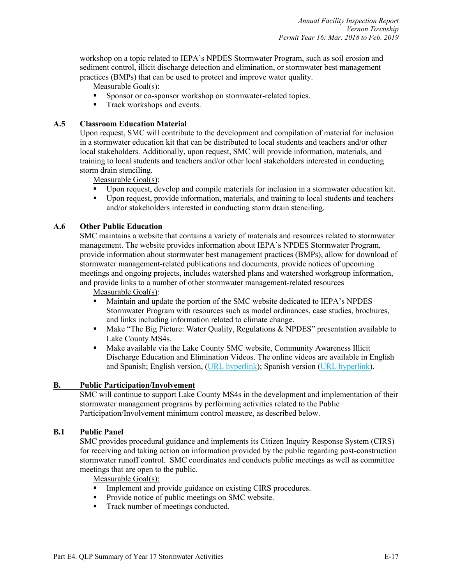workshop on a topic related to IEPA's NPDES Stormwater Program, such as soil erosion and sediment control, illicit discharge detection and elimination, or stormwater best management practices (BMPs) that can be used to protect and improve water quality.

Measurable Goal(s):

- § Sponsor or co-sponsor workshop on stormwater-related topics.
- Track workshops and events.

#### **A.5 Classroom Education Material**

Upon request, SMC will contribute to the development and compilation of material for inclusion in a stormwater education kit that can be distributed to local students and teachers and/or other local stakeholders. Additionally, upon request, SMC will provide information, materials, and training to local students and teachers and/or other local stakeholders interested in conducting storm drain stenciling.

Measurable Goal(s):

- § Upon request, develop and compile materials for inclusion in a stormwater education kit.
- § Upon request, provide information, materials, and training to local students and teachers and/or stakeholders interested in conducting storm drain stenciling.

#### **A.6 Other Public Education**

SMC maintains a website that contains a variety of materials and resources related to stormwater management. The website provides information about IEPA's NPDES Stormwater Program, provide information about stormwater best management practices (BMPs), allow for download of stormwater management-related publications and documents, provide notices of upcoming meetings and ongoing projects, includes watershed plans and watershed workgroup information, and provide links to a number of other stormwater management-related resources

Measurable Goal(s):

- § Maintain and update the portion of the SMC website dedicated to IEPA's NPDES Stormwater Program with resources such as model ordinances, case studies, brochures, and links including information related to climate change.
- Make "The Big Picture: Water Quality, Regulations & NPDES" presentation available to Lake County MS4s.
- § Make available via the Lake County SMC website, Community Awareness Illicit Discharge Education and Elimination Videos. The online videos are available in English and Spanish; English version, (URL hyperlink); Spanish version (URL hyperlink).

#### **B. Public Participation/Involvement**

SMC will continue to support Lake County MS4s in the development and implementation of their stormwater management programs by performing activities related to the Public Participation/Involvement minimum control measure, as described below.

#### **B.1 Public Panel**

SMC provides procedural guidance and implements its Citizen Inquiry Response System (CIRS) for receiving and taking action on information provided by the public regarding post-construction stormwater runoff control. SMC coordinates and conducts public meetings as well as committee meetings that are open to the public.

Measurable Goal(s):

- Implement and provide guidance on existing CIRS procedures.
- Provide notice of public meetings on SMC website.
- Track number of meetings conducted.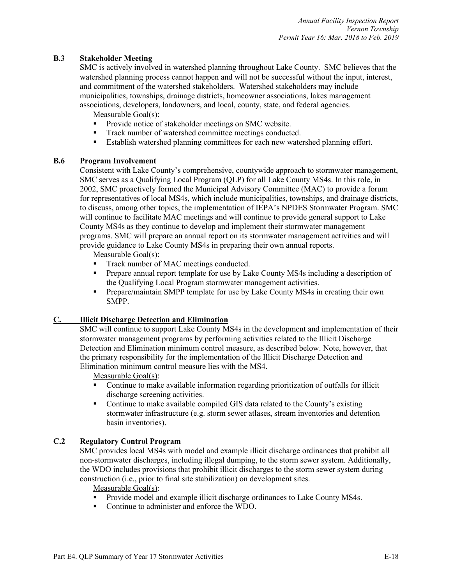#### **B.3 Stakeholder Meeting**

SMC is actively involved in watershed planning throughout Lake County. SMC believes that the watershed planning process cannot happen and will not be successful without the input, interest, and commitment of the watershed stakeholders. Watershed stakeholders may include municipalities, townships, drainage districts, homeowner associations, lakes management associations, developers, landowners, and local, county, state, and federal agencies.

Measurable Goal(s):

- Provide notice of stakeholder meetings on SMC website.
- Track number of watershed committee meetings conducted.
- § Establish watershed planning committees for each new watershed planning effort.

#### **B.6 Program Involvement**

Consistent with Lake County's comprehensive, countywide approach to stormwater management, SMC serves as a Qualifying Local Program (QLP) for all Lake County MS4s. In this role, in 2002, SMC proactively formed the Municipal Advisory Committee (MAC) to provide a forum for representatives of local MS4s, which include municipalities, townships, and drainage districts, to discuss, among other topics, the implementation of IEPA's NPDES Stormwater Program. SMC will continue to facilitate MAC meetings and will continue to provide general support to Lake County MS4s as they continue to develop and implement their stormwater management programs. SMC will prepare an annual report on its stormwater management activities and will provide guidance to Lake County MS4s in preparing their own annual reports.

Measurable Goal(s):

- Track number of MAC meetings conducted.
- Prepare annual report template for use by Lake County MS4s including a description of the Qualifying Local Program stormwater management activities.
- Prepare/maintain SMPP template for use by Lake County MS4s in creating their own SMPP.

#### **C. Illicit Discharge Detection and Elimination**

SMC will continue to support Lake County MS4s in the development and implementation of their stormwater management programs by performing activities related to the Illicit Discharge Detection and Elimination minimum control measure, as described below. Note, however, that the primary responsibility for the implementation of the Illicit Discharge Detection and Elimination minimum control measure lies with the MS4.

Measurable Goal(s):

- Continue to make available information regarding prioritization of outfalls for illicit discharge screening activities.
- Continue to make available compiled GIS data related to the County's existing stormwater infrastructure (e.g. storm sewer atlases, stream inventories and detention basin inventories).

# **C.2 Regulatory Control Program**

SMC provides local MS4s with model and example illicit discharge ordinances that prohibit all non-stormwater discharges, including illegal dumping, to the storm sewer system. Additionally, the WDO includes provisions that prohibit illicit discharges to the storm sewer system during construction (i.e., prior to final site stabilization) on development sites.

Measurable Goal(s):

- **•** Provide model and example illicit discharge ordinances to Lake County MS4s.
- Continue to administer and enforce the WDO.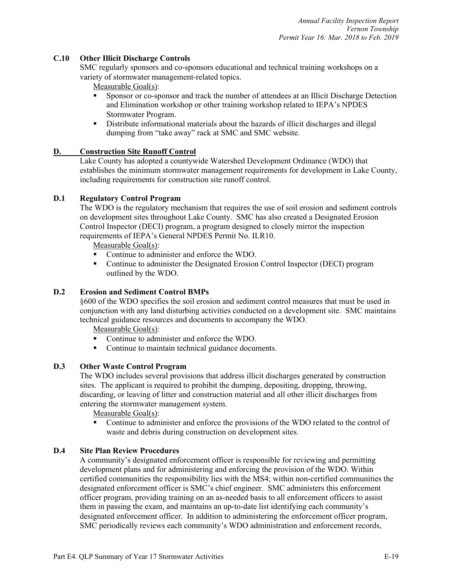#### **C.10 Other Illicit Discharge Controls**

SMC regularly sponsors and co-sponsors educational and technical training workshops on a variety of stormwater management-related topics.

#### Measurable Goal(s):

- § Sponsor or co-sponsor and track the number of attendees at an Illicit Discharge Detection and Elimination workshop or other training workshop related to IEPA's NPDES Stormwater Program.
- § Distribute informational materials about the hazards of illicit discharges and illegal dumping from "take away" rack at SMC and SMC website.

#### **D. Construction Site Runoff Control**

Lake County has adopted a countywide Watershed Development Ordinance (WDO) that establishes the minimum stormwater management requirements for development in Lake County, including requirements for construction site runoff control.

# **D.1 Regulatory Control Program**

The WDO is the regulatory mechanism that requires the use of soil erosion and sediment controls on development sites throughout Lake County. SMC has also created a Designated Erosion Control Inspector (DECI) program, a program designed to closely mirror the inspection requirements of IEPA's General NPDES Permit No. ILR10.

Measurable Goal(s):

- § Continue to administer and enforce the WDO.
- § Continue to administer the Designated Erosion Control Inspector (DECI) program outlined by the WDO.

#### **D.2 Erosion and Sediment Control BMPs**

§600 of the WDO specifies the soil erosion and sediment control measures that must be used in conjunction with any land disturbing activities conducted on a development site. SMC maintains technical guidance resources and documents to accompany the WDO.

Measurable Goal(s):

- § Continue to administer and enforce the WDO.
- Continue to maintain technical guidance documents.

#### **D.3 Other Waste Control Program**

The WDO includes several provisions that address illicit discharges generated by construction sites. The applicant is required to prohibit the dumping, depositing, dropping, throwing, discarding, or leaving of litter and construction material and all other illicit discharges from entering the stormwater management system.

Measurable Goal(s):

■ Continue to administer and enforce the provisions of the WDO related to the control of waste and debris during construction on development sites.

#### **D.4 Site Plan Review Procedures**

A community's designated enforcement officer is responsible for reviewing and permitting development plans and for administering and enforcing the provision of the WDO. Within certified communities the responsibility lies with the MS4; within non-certified communities the designated enforcement officer is SMC's chief engineer. SMC administers this enforcement officer program, providing training on an as-needed basis to all enforcement officers to assist them in passing the exam, and maintains an up-to-date list identifying each community's designated enforcement officer. In addition to administering the enforcement officer program, SMC periodically reviews each community's WDO administration and enforcement records,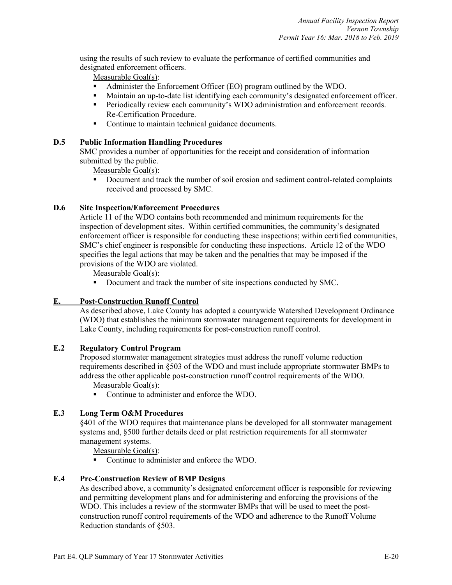using the results of such review to evaluate the performance of certified communities and designated enforcement officers.

Measurable Goal(s):

- § Administer the Enforcement Officer (EO) program outlined by the WDO.
- Maintain an up-to-date list identifying each community's designated enforcement officer.
- **•** Periodically review each community's WDO administration and enforcement records. Re-Certification Procedure.
- Continue to maintain technical guidance documents.

#### **D.5 Public Information Handling Procedures**

SMC provides a number of opportunities for the receipt and consideration of information submitted by the public.

Measurable Goal(s):

§ Document and track the number of soil erosion and sediment control-related complaints received and processed by SMC.

#### **D.6 Site Inspection/Enforcement Procedures**

Article 11 of the WDO contains both recommended and minimum requirements for the inspection of development sites. Within certified communities, the community's designated enforcement officer is responsible for conducting these inspections; within certified communities, SMC's chief engineer is responsible for conducting these inspections. Article 12 of the WDO specifies the legal actions that may be taken and the penalties that may be imposed if the provisions of the WDO are violated.

Measurable Goal(s):

■ Document and track the number of site inspections conducted by SMC.

# **E. Post-Construction Runoff Control**

As described above, Lake County has adopted a countywide Watershed Development Ordinance (WDO) that establishes the minimum stormwater management requirements for development in Lake County, including requirements for post-construction runoff control.

#### **E.2 Regulatory Control Program**

Proposed stormwater management strategies must address the runoff volume reduction requirements described in §503 of the WDO and must include appropriate stormwater BMPs to address the other applicable post-construction runoff control requirements of the WDO.

Measurable Goal(s):

■ Continue to administer and enforce the WDO.

#### **E.3 Long Term O&M Procedures**

§401 of the WDO requires that maintenance plans be developed for all stormwater management systems and, §500 further details deed or plat restriction requirements for all stormwater management systems.

Measurable Goal(s):

§ Continue to administer and enforce the WDO.

#### **E.4 Pre-Construction Review of BMP Designs**

As described above, a community's designated enforcement officer is responsible for reviewing and permitting development plans and for administering and enforcing the provisions of the WDO. This includes a review of the stormwater BMPs that will be used to meet the postconstruction runoff control requirements of the WDO and adherence to the Runoff Volume Reduction standards of §503.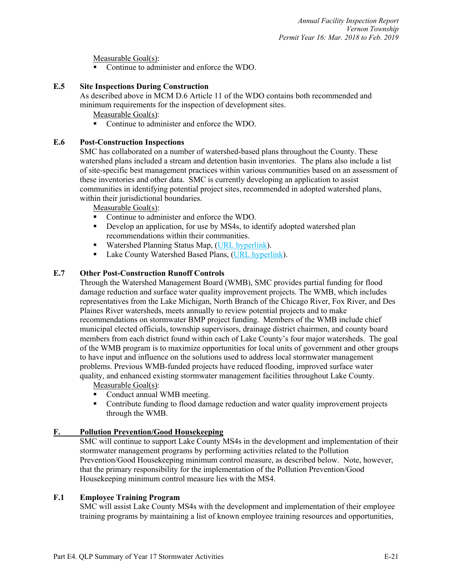Measurable Goal(s):

■ Continue to administer and enforce the WDO.

#### **E.5 Site Inspections During Construction**

As described above in MCM D.6 Article 11 of the WDO contains both recommended and minimum requirements for the inspection of development sites.

Measurable Goal(s):

§ Continue to administer and enforce the WDO.

#### **E.6 Post-Construction Inspections**

SMC has collaborated on a number of watershed-based plans throughout the County. These watershed plans included a stream and detention basin inventories. The plans also include a list of site-specific best management practices within various communities based on an assessment of these inventories and other data. SMC is currently developing an application to assist communities in identifying potential project sites, recommended in adopted watershed plans, within their jurisdictional boundaries.

Measurable Goal(s):

- Continue to administer and enforce the WDO.
- Develop an application, for use by MS4s, to identify adopted watershed plan recommendations within their communities.
- Watershed Planning Status Map, (URL hyperlink).
- Lake County Watershed Based Plans, (URL hyperlink).

# **E.7 Other Post-Construction Runoff Controls**

Through the Watershed Management Board (WMB), SMC provides partial funding for flood damage reduction and surface water quality improvement projects. The WMB, which includes representatives from the Lake Michigan, North Branch of the Chicago River, Fox River, and Des Plaines River watersheds, meets annually to review potential projects and to make recommendations on stormwater BMP project funding. Members of the WMB include chief municipal elected officials, township supervisors, drainage district chairmen, and county board members from each district found within each of Lake County's four major watersheds. The goal of the WMB program is to maximize opportunities for local units of government and other groups to have input and influence on the solutions used to address local stormwater management problems. Previous WMB-funded projects have reduced flooding, improved surface water quality, and enhanced existing stormwater management facilities throughout Lake County.

Measurable Goal(s):

- Conduct annual WMB meeting.
- Contribute funding to flood damage reduction and water quality improvement projects through the WMB.

# **F. Pollution Prevention/Good Housekeeping**

SMC will continue to support Lake County MS4s in the development and implementation of their stormwater management programs by performing activities related to the Pollution Prevention/Good Housekeeping minimum control measure, as described below. Note, however, that the primary responsibility for the implementation of the Pollution Prevention/Good Housekeeping minimum control measure lies with the MS4.

# **F.1 Employee Training Program**

SMC will assist Lake County MS4s with the development and implementation of their employee training programs by maintaining a list of known employee training resources and opportunities,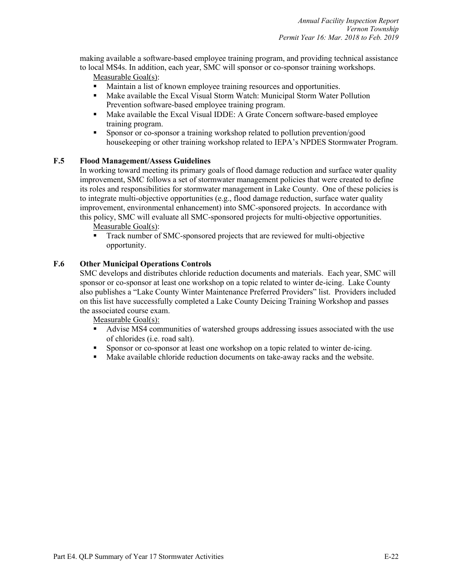making available a software-based employee training program, and providing technical assistance to local MS4s. In addition, each year, SMC will sponsor or co-sponsor training workshops.

Measurable Goal(s):

- § Maintain a list of known employee training resources and opportunities.
- Make available the Excal Visual Storm Watch: Municipal Storm Water Pollution Prevention software-based employee training program.
- § Make available the Excal Visual IDDE: A Grate Concern software-based employee training program.
- § Sponsor or co-sponsor a training workshop related to pollution prevention/good housekeeping or other training workshop related to IEPA's NPDES Stormwater Program.

#### **F.5 Flood Management/Assess Guidelines**

In working toward meeting its primary goals of flood damage reduction and surface water quality improvement, SMC follows a set of stormwater management policies that were created to define its roles and responsibilities for stormwater management in Lake County. One of these policies is to integrate multi-objective opportunities (e.g., flood damage reduction, surface water quality improvement, environmental enhancement) into SMC-sponsored projects. In accordance with this policy, SMC will evaluate all SMC-sponsored projects for multi-objective opportunities.

Measurable Goal(s):

■ Track number of SMC-sponsored projects that are reviewed for multi-objective opportunity.

#### **F.6 Other Municipal Operations Controls**

SMC develops and distributes chloride reduction documents and materials. Each year, SMC will sponsor or co-sponsor at least one workshop on a topic related to winter de-icing. Lake County also publishes a "Lake County Winter Maintenance Preferred Providers" list. Providers included on this list have successfully completed a Lake County Deicing Training Workshop and passes the associated course exam.

Measurable Goal(s):

- Advise MS4 communities of watershed groups addressing issues associated with the use of chlorides (i.e. road salt).
- § Sponsor or co-sponsor at least one workshop on a topic related to winter de-icing.
- Make available chloride reduction documents on take-away racks and the website.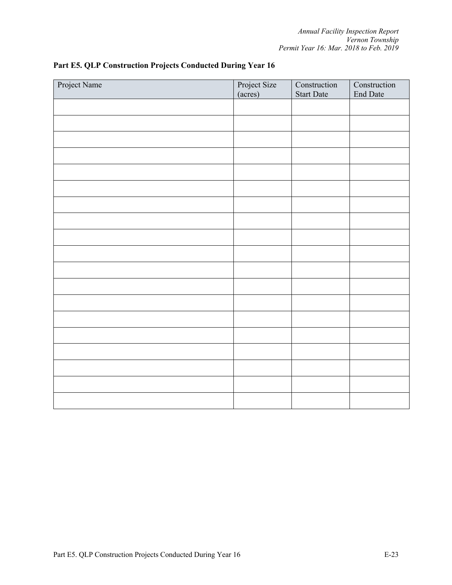| Project Name | Project Size<br>(acres) | Construction<br><b>Start Date</b> | Construction<br>End Date |
|--------------|-------------------------|-----------------------------------|--------------------------|
|              |                         |                                   |                          |
|              |                         |                                   |                          |
|              |                         |                                   |                          |
|              |                         |                                   |                          |
|              |                         |                                   |                          |
|              |                         |                                   |                          |
|              |                         |                                   |                          |
|              |                         |                                   |                          |
|              |                         |                                   |                          |
|              |                         |                                   |                          |
|              |                         |                                   |                          |
|              |                         |                                   |                          |
|              |                         |                                   |                          |
|              |                         |                                   |                          |
|              |                         |                                   |                          |
|              |                         |                                   |                          |
|              |                         |                                   |                          |
|              |                         |                                   |                          |
|              |                         |                                   |                          |

# **Part E5. QLP Construction Projects Conducted During Year 16**